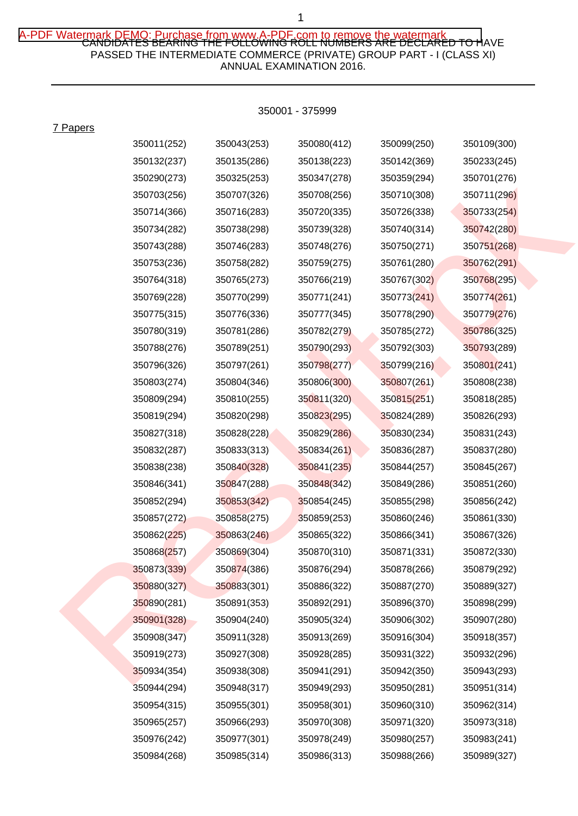## A-PDF Watermark DEMO: Purchase from www.A-PDF,com to remove the watermark<br>CANDIDATES BEARING THE FOLLOWING ROLL NUMBERS ARE DECLARED TO HAVE PASSED THE INTERMEDIATE COMMERCE (PRIVATE) GROUP PART - I (CLASS XI) ANNUAL EXAMINATION 2016.

7 Papers

| 350011(252) | 350043(253) | 350080(412) | 350099(250) | 350109(300) |
|-------------|-------------|-------------|-------------|-------------|
| 350132(237) | 350135(286) | 350138(223) | 350142(369) | 350233(245) |
| 350290(273) | 350325(253) | 350347(278) | 350359(294) | 350701(276) |
| 350703(256) | 350707(326) | 350708(256) | 350710(308) | 350711(296) |
| 350714(366) | 350716(283) | 350720(335) | 350726(338) | 350733(254) |
| 350734(282) | 350738(298) | 350739(328) | 350740(314) | 350742(280) |
| 350743(288) | 350746(283) | 350748(276) | 350750(271) | 350751(268) |
| 350753(236) | 350758(282) | 350759(275) | 350761(280) | 350762(291) |
| 350764(318) | 350765(273) | 350766(219) | 350767(302) | 350768(295) |
| 350769(228) | 350770(299) | 350771(241) | 350773(241) | 350774(261) |
| 350775(315) | 350776(336) | 350777(345) | 350778(290) | 350779(276) |
| 350780(319) | 350781(286) | 350782(279) | 350785(272) | 350786(325) |
| 350788(276) | 350789(251) | 350790(293) | 350792(303) | 350793(289) |
| 350796(326) | 350797(261) | 350798(277) | 350799(216) | 350801(241) |
| 350803(274) | 350804(346) | 350806(300) | 350807(261) | 350808(238) |
| 350809(294) | 350810(255) | 350811(320) | 350815(251) | 350818(285) |
| 350819(294) | 350820(298) | 350823(295) | 350824(289) | 350826(293) |
| 350827(318) | 350828(228) | 350829(286) | 350830(234) | 350831(243) |
| 350832(287) | 350833(313) | 350834(261) | 350836(287) | 350837(280) |
| 350838(238) | 350840(328) | 350841(235) | 350844(257) | 350845(267) |
| 350846(341) | 350847(288) | 350848(342) | 350849(286) | 350851(260) |
| 350852(294) | 350853(342) | 350854(245) | 350855(298) | 350856(242) |
| 350857(272) | 350858(275) | 350859(253) | 350860(246) | 350861(330) |
| 350862(225) | 350863(246) | 350865(322) | 350866(341) | 350867(326) |
| 350868(257) | 350869(304) | 350870(310) | 350871(331) | 350872(330) |
| 350873(339) | 350874(386) | 350876(294) | 350878(266) | 350879(292) |
| 350880(327) | 350883(301) | 350886(322) | 350887(270) | 350889(327) |
| 350890(281) | 350891(353) | 350892(291) | 350896(370) | 350898(299) |
| 350901(328) | 350904(240) | 350905(324) | 350906(302) | 350907(280) |
| 350908(347) | 350911(328) | 350913(269) | 350916(304) | 350918(357) |
| 350919(273) | 350927(308) | 350928(285) | 350931(322) | 350932(296) |
| 350934(354) | 350938(308) | 350941(291) | 350942(350) | 350943(293) |
| 350944(294) | 350948(317) | 350949(293) | 350950(281) | 350951(314) |
| 350954(315) | 350955(301) | 350958(301) | 350960(310) | 350962(314) |
| 350965(257) | 350966(293) | 350970(308) | 350971(320) | 350973(318) |
| 350976(242) | 350977(301) | 350978(249) | 350980(257) | 350983(241) |
| 350984(268) | 350985(314) | 350986(313) | 350988(266) | 350989(327) |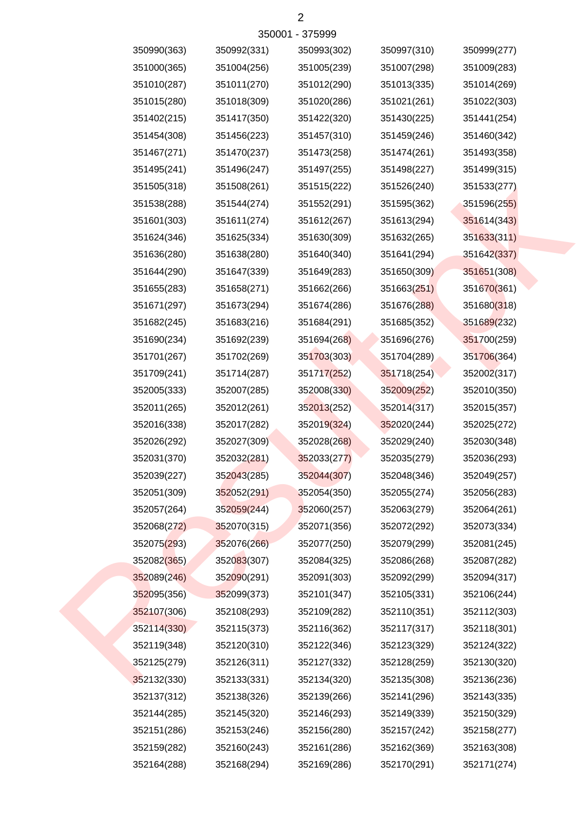| 350990(363) | 350992(331) | 350993(302) | 350997(310) | 350999(277) |
|-------------|-------------|-------------|-------------|-------------|
| 351000(365) | 351004(256) | 351005(239) | 351007(298) | 351009(283) |
| 351010(287) | 351011(270) | 351012(290) | 351013(335) | 351014(269) |
| 351015(280) | 351018(309) | 351020(286) | 351021(261) | 351022(303) |
| 351402(215) | 351417(350) | 351422(320) | 351430(225) | 351441(254) |
| 351454(308) | 351456(223) | 351457(310) | 351459(246) | 351460(342) |
| 351467(271) | 351470(237) | 351473(258) | 351474(261) | 351493(358) |
| 351495(241) | 351496(247) | 351497(255) | 351498(227) | 351499(315) |
| 351505(318) | 351508(261) | 351515(222) | 351526(240) | 351533(277) |
| 351538(288) | 351544(274) | 351552(291) | 351595(362) | 351596(255) |
| 351601(303) | 351611(274) | 351612(267) | 351613(294) | 351614(343) |
| 351624(346) | 351625(334) | 351630(309) | 351632(265) | 351633(311) |
| 351636(280) | 351638(280) | 351640(340) | 351641(294) | 351642(337) |
| 351644(290) | 351647(339) | 351649(283) | 351650(309) | 351651(308) |
| 351655(283) | 351658(271) | 351662(266) | 351663(251) | 351670(361) |
| 351671(297) | 351673(294) | 351674(286) | 351676(288) | 351680(318) |
| 351682(245) | 351683(216) | 351684(291) | 351685(352) | 351689(232) |
| 351690(234) | 351692(239) | 351694(268) | 351696(276) | 351700(259) |
| 351701(267) | 351702(269) | 351703(303) | 351704(289) | 351706(364) |
| 351709(241) | 351714(287) | 351717(252) | 351718(254) | 352002(317) |
| 352005(333) | 352007(285) | 352008(330) | 352009(252) | 352010(350) |
| 352011(265) | 352012(261) | 352013(252) | 352014(317) | 352015(357) |
| 352016(338) | 352017(282) | 352019(324) | 352020(244) | 352025(272) |
| 352026(292) | 352027(309) | 352028(268) | 352029(240) | 352030(348) |
| 352031(370) | 352032(281) | 352033(277) | 352035(279) | 352036(293) |
| 352039(227) | 352043(285) | 352044(307) | 352048(346) | 352049(257) |
| 352051(309) | 352052(291) | 352054(350) | 352055(274) | 352056(283) |
| 352057(264) | 352059(244) | 352060(257) | 352063(279) | 352064(261) |
| 352068(272) | 352070(315) | 352071(356) | 352072(292) | 352073(334) |
| 352075(293) | 352076(266) | 352077(250) | 352079(299) | 352081(245) |
| 352082(365) | 352083(307) | 352084(325) | 352086(268) | 352087(282) |
| 352089(246) | 352090(291) | 352091(303) | 352092(299) | 352094(317) |
| 352095(356) | 352099(373) | 352101(347) | 352105(331) | 352106(244) |
| 352107(306) | 352108(293) | 352109(282) | 352110(351) | 352112(303) |
| 352114(330) | 352115(373) | 352116(362) | 352117(317) | 352118(301) |
| 352119(348) | 352120(310) | 352122(346) | 352123(329) | 352124(322) |
| 352125(279) | 352126(311) | 352127(332) | 352128(259) | 352130(320) |
| 352132(330) | 352133(331) | 352134(320) | 352135(308) | 352136(236) |
| 352137(312) | 352138(326) | 352139(266) | 352141(296) | 352143(335) |
| 352144(285) | 352145(320) | 352146(293) | 352149(339) | 352150(329) |
| 352151(286) | 352153(246) | 352156(280) | 352157(242) | 352158(277) |
| 352159(282) | 352160(243) | 352161(286) | 352162(369) | 352163(308) |
| 352164(288) | 352168(294) | 352169(286) | 352170(291) | 352171(274) |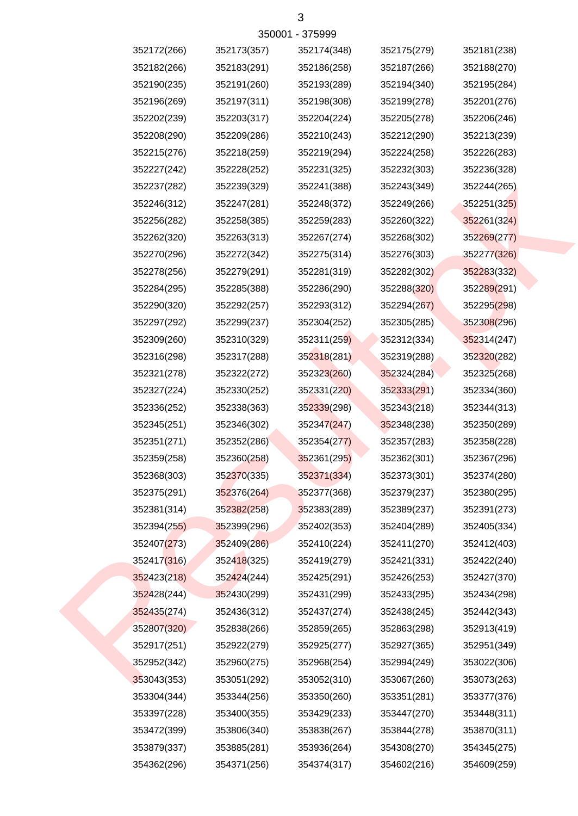| 352172(266) | 352173(357) | 352174(348) | 352175(279) | 352181(238) |
|-------------|-------------|-------------|-------------|-------------|
| 352182(266) | 352183(291) | 352186(258) | 352187(266) | 352188(270) |
| 352190(235) | 352191(260) | 352193(289) | 352194(340) | 352195(284) |
| 352196(269) | 352197(311) | 352198(308) | 352199(278) | 352201(276) |
| 352202(239) | 352203(317) | 352204(224) | 352205(278) | 352206(246) |
| 352208(290) | 352209(286) | 352210(243) | 352212(290) | 352213(239) |
| 352215(276) | 352218(259) | 352219(294) | 352224(258) | 352226(283) |
| 352227(242) | 352228(252) | 352231(325) | 352232(303) | 352236(328) |
| 352237(282) | 352239(329) | 352241(388) | 352243(349) | 352244(265) |
| 352246(312) | 352247(281) | 352248(372) | 352249(266) | 352251(325) |
| 352256(282) | 352258(385) | 352259(283) | 352260(322) | 352261(324) |
| 352262(320) | 352263(313) | 352267(274) | 352268(302) | 352269(277) |
| 352270(296) | 352272(342) | 352275(314) | 352276(303) | 352277(326) |
| 352278(256) | 352279(291) | 352281(319) | 352282(302) | 352283(332) |
| 352284(295) | 352285(388) | 352286(290) | 352288(320) | 352289(291) |
| 352290(320) | 352292(257) | 352293(312) | 352294(267) | 352295(298) |
| 352297(292) | 352299(237) | 352304(252) | 352305(285) | 352308(296) |
| 352309(260) | 352310(329) | 352311(259) | 352312(334) | 352314(247) |
| 352316(298) | 352317(288) | 352318(281) | 352319(288) | 352320(282) |
| 352321(278) | 352322(272) | 352323(260) | 352324(284) | 352325(268) |
| 352327(224) | 352330(252) | 352331(220) | 352333(291) | 352334(360) |
| 352336(252) | 352338(363) | 352339(298) | 352343(218) | 352344(313) |
| 352345(251) | 352346(302) | 352347(247) | 352348(238) | 352350(289) |
| 352351(271) | 352352(286) | 352354(277) | 352357(283) | 352358(228) |
| 352359(258) | 352360(258) | 352361(295) | 352362(301) | 352367(296) |
| 352368(303) | 352370(335) | 352371(334) | 352373(301) | 352374(280) |
| 352375(291) | 352376(264) | 352377(368) | 352379(237) | 352380(295) |
| 352381(314) | 352382(258) | 352383(289) | 352389(237) | 352391(273) |
| 352394(255) | 352399(296) | 352402(353) | 352404(289) | 352405(334) |
| 352407(273) | 352409(286) | 352410(224) | 352411(270) | 352412(403) |
| 352417(316) | 352418(325) | 352419(279) | 352421(331) | 352422(240) |
| 352423(218) | 352424(244) | 352425(291) | 352426(253) | 352427(370) |
| 352428(244) | 352430(299) | 352431(299) | 352433(295) | 352434(298) |
| 352435(274) | 352436(312) | 352437(274) | 352438(245) | 352442(343) |
| 352807(320) | 352838(266) | 352859(265) | 352863(298) | 352913(419) |
| 352917(251) | 352922(279) | 352925(277) | 352927(365) | 352951(349) |
| 352952(342) | 352960(275) | 352968(254) | 352994(249) | 353022(306) |
| 353043(353) | 353051(292) | 353052(310) | 353067(260) | 353073(263) |
| 353304(344) | 353344(256) | 353350(260) | 353351(281) | 353377(376) |
| 353397(228) | 353400(355) | 353429(233) | 353447(270) | 353448(311) |
| 353472(399) | 353806(340) | 353838(267) | 353844(278) | 353870(311) |
| 353879(337) | 353885(281) | 353936(264) | 354308(270) | 354345(275) |
| 354362(296) | 354371(256) | 354374(317) | 354602(216) | 354609(259) |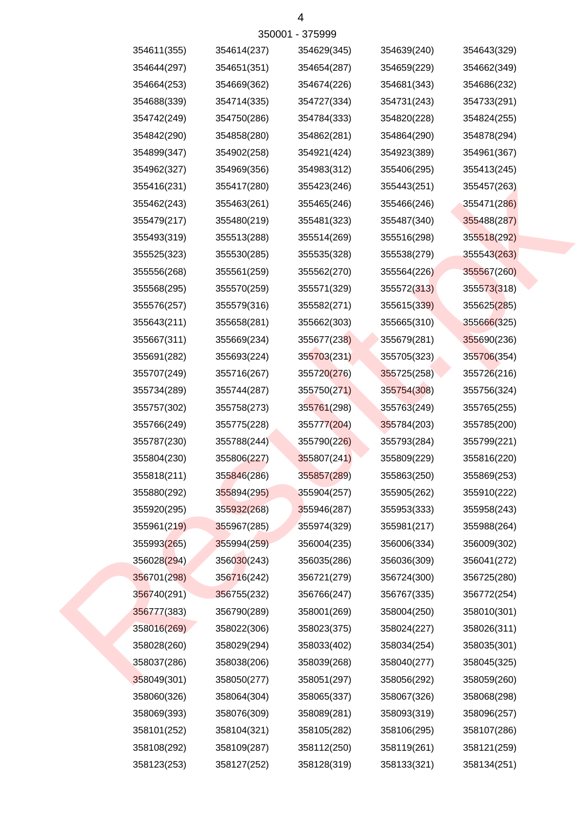| 354611(355) | 354614(237) | 354629(345) | 354639(240) | 354643(329) |
|-------------|-------------|-------------|-------------|-------------|
| 354644(297) | 354651(351) | 354654(287) | 354659(229) | 354662(349) |
| 354664(253) | 354669(362) | 354674(226) | 354681(343) | 354686(232) |
| 354688(339) | 354714(335) | 354727(334) | 354731(243) | 354733(291) |
| 354742(249) | 354750(286) | 354784(333) | 354820(228) | 354824(255) |
| 354842(290) | 354858(280) | 354862(281) | 354864(290) | 354878(294) |
| 354899(347) | 354902(258) | 354921(424) | 354923(389) | 354961(367) |
| 354962(327) | 354969(356) | 354983(312) | 355406(295) | 355413(245) |
| 355416(231) | 355417(280) | 355423(246) | 355443(251) | 355457(263) |
| 355462(243) | 355463(261) | 355465(246) | 355466(246) | 355471(286) |
| 355479(217) | 355480(219) | 355481(323) | 355487(340) | 355488(287) |
| 355493(319) | 355513(288) | 355514(269) | 355516(298) | 355518(292) |
| 355525(323) | 355530(285) | 355535(328) | 355538(279) | 355543(263) |
| 355556(268) | 355561(259) | 355562(270) | 355564(226) | 355567(260) |
| 355568(295) | 355570(259) | 355571(329) | 355572(313) | 355573(318) |
| 355576(257) | 355579(316) | 355582(271) | 355615(339) | 355625(285) |
| 355643(211) | 355658(281) | 355662(303) | 355665(310) | 355666(325) |
| 355667(311) | 355669(234) | 355677(238) | 355679(281) | 355690(236) |
| 355691(282) | 355693(224) | 355703(231) | 355705(323) | 355706(354) |
| 355707(249) | 355716(267) | 355720(276) | 355725(258) | 355726(216) |
| 355734(289) | 355744(287) | 355750(271) | 355754(308) | 355756(324) |
| 355757(302) | 355758(273) | 355761(298) | 355763(249) | 355765(255) |
| 355766(249) | 355775(228) | 355777(204) | 355784(203) | 355785(200) |
| 355787(230) | 355788(244) | 355790(226) | 355793(284) | 355799(221) |
| 355804(230) | 355806(227) | 355807(241) | 355809(229) | 355816(220) |
| 355818(211) | 355846(286) | 355857(289) | 355863(250) | 355869(253) |
| 355880(292) | 355894(295) | 355904(257) | 355905(262) | 355910(222) |
| 355920(295) | 355932(268) | 355946(287) | 355953(333) | 355958(243) |
| 355961(219) | 355967(285) | 355974(329) | 355981(217) | 355988(264) |
| 355993(265) | 355994(259) | 356004(235) | 356006(334) | 356009(302) |
| 356028(294) | 356030(243) | 356035(286) | 356036(309) | 356041(272) |
| 356701(298) | 356716(242) | 356721(279) | 356724(300) | 356725(280) |
| 356740(291) | 356755(232) | 356766(247) | 356767(335) | 356772(254) |
| 356777(383) | 356790(289) | 358001(269) | 358004(250) | 358010(301) |
| 358016(269) | 358022(306) | 358023(375) | 358024(227) | 358026(311) |
| 358028(260) | 358029(294) | 358033(402) | 358034(254) | 358035(301) |
| 358037(286) | 358038(206) | 358039(268) | 358040(277) | 358045(325) |
| 358049(301) | 358050(277) | 358051(297) | 358056(292) | 358059(260) |
| 358060(326) | 358064(304) | 358065(337) | 358067(326) | 358068(298) |
| 358069(393) | 358076(309) | 358089(281) | 358093(319) | 358096(257) |
| 358101(252) | 358104(321) | 358105(282) | 358106(295) | 358107(286) |
| 358108(292) | 358109(287) | 358112(250) | 358119(261) | 358121(259) |
| 358123(253) | 358127(252) | 358128(319) | 358133(321) | 358134(251) |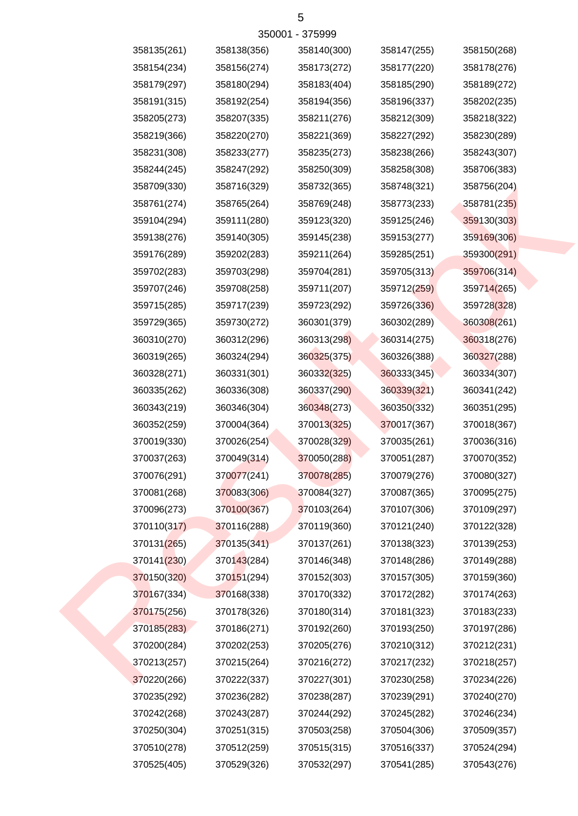| 358135(261) | 358138(356) | 358140(300) | 358147(255) | 358150(268) |
|-------------|-------------|-------------|-------------|-------------|
| 358154(234) | 358156(274) | 358173(272) | 358177(220) | 358178(276) |
| 358179(297) | 358180(294) | 358183(404) | 358185(290) | 358189(272) |
| 358191(315) | 358192(254) | 358194(356) | 358196(337) | 358202(235) |
| 358205(273) | 358207(335) | 358211(276) | 358212(309) | 358218(322) |
| 358219(366) | 358220(270) | 358221(369) | 358227(292) | 358230(289) |
| 358231(308) | 358233(277) | 358235(273) | 358238(266) | 358243(307) |
| 358244(245) | 358247(292) | 358250(309) | 358258(308) | 358706(383) |
| 358709(330) | 358716(329) | 358732(365) | 358748(321) | 358756(204) |
| 358761(274) | 358765(264) | 358769(248) | 358773(233) | 358781(235) |
| 359104(294) | 359111(280) | 359123(320) | 359125(246) | 359130(303) |
| 359138(276) | 359140(305) | 359145(238) | 359153(277) | 359169(306) |
| 359176(289) | 359202(283) | 359211(264) | 359285(251) | 359300(291) |
| 359702(283) | 359703(298) | 359704(281) | 359705(313) | 359706(314) |
| 359707(246) | 359708(258) | 359711(207) | 359712(259) | 359714(265) |
| 359715(285) | 359717(239) | 359723(292) | 359726(336) | 359728(328) |
| 359729(365) | 359730(272) | 360301(379) | 360302(289) | 360308(261) |
| 360310(270) | 360312(296) | 360313(298) | 360314(275) | 360318(276) |
| 360319(265) | 360324(294) | 360325(375) | 360326(388) | 360327(288) |
| 360328(271) | 360331(301) | 360332(325) | 360333(345) | 360334(307) |
| 360335(262) | 360336(308) | 360337(290) | 360339(321) | 360341(242) |
| 360343(219) | 360346(304) | 360348(273) | 360350(332) | 360351(295) |
| 360352(259) | 370004(364) | 370013(325) | 370017(367) | 370018(367) |
| 370019(330) | 370026(254) | 370028(329) | 370035(261) | 370036(316) |
| 370037(263) | 370049(314) | 370050(288) | 370051(287) | 370070(352) |
| 370076(291) | 370077(241) | 370078(285) | 370079(276) | 370080(327) |
| 370081(268) | 370083(306) | 370084(327) | 370087(365) | 370095(275) |
| 370096(273) | 370100(367) | 370103(264) | 370107(306) | 370109(297) |
| 370110(317) | 370116(288) | 370119(360) | 370121(240) | 370122(328) |
| 370131(265) | 370135(341) | 370137(261) | 370138(323) | 370139(253) |
| 370141(230) | 370143(284) | 370146(348) | 370148(286) | 370149(288) |
| 370150(320) | 370151(294) | 370152(303) | 370157(305) | 370159(360) |
| 370167(334) | 370168(338) | 370170(332) | 370172(282) | 370174(263) |
| 370175(256) | 370178(326) | 370180(314) | 370181(323) | 370183(233) |
| 370185(283) | 370186(271) | 370192(260) | 370193(250) | 370197(286) |
| 370200(284) | 370202(253) | 370205(276) | 370210(312) | 370212(231) |
| 370213(257) | 370215(264) | 370216(272) | 370217(232) | 370218(257) |
| 370220(266) | 370222(337) | 370227(301) | 370230(258) | 370234(226) |
| 370235(292) | 370236(282) | 370238(287) | 370239(291) | 370240(270) |
| 370242(268) | 370243(287) | 370244(292) | 370245(282) | 370246(234) |
| 370250(304) | 370251(315) | 370503(258) | 370504(306) | 370509(357) |
| 370510(278) | 370512(259) | 370515(315) | 370516(337) | 370524(294) |
| 370525(405) | 370529(326) | 370532(297) | 370541(285) | 370543(276) |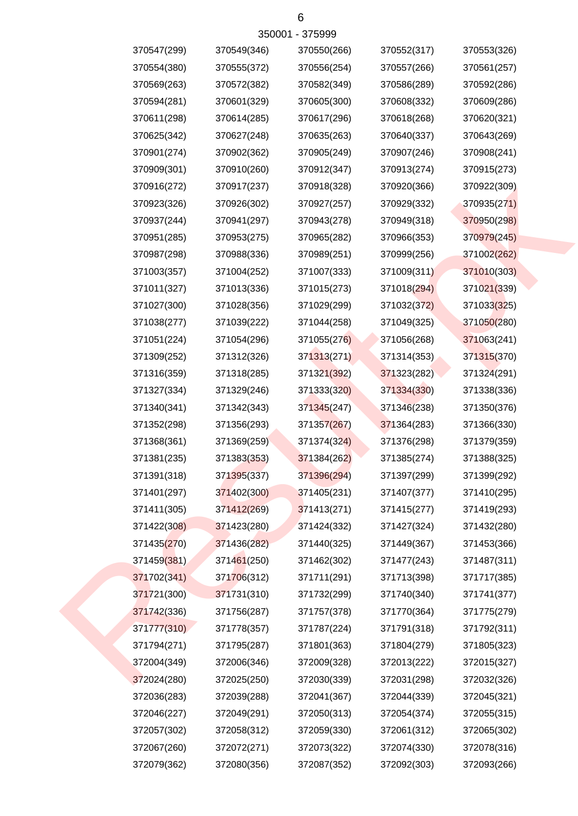| 370547(299) | 370549(346) | 370550(266) | 370552(317) | 370553(326) |
|-------------|-------------|-------------|-------------|-------------|
| 370554(380) | 370555(372) | 370556(254) | 370557(266) | 370561(257) |
| 370569(263) | 370572(382) | 370582(349) | 370586(289) | 370592(286) |
| 370594(281) | 370601(329) | 370605(300) | 370608(332) | 370609(286) |
| 370611(298) | 370614(285) | 370617(296) | 370618(268) | 370620(321) |
| 370625(342) | 370627(248) | 370635(263) | 370640(337) | 370643(269) |
| 370901(274) | 370902(362) | 370905(249) | 370907(246) | 370908(241) |
| 370909(301) | 370910(260) | 370912(347) | 370913(274) | 370915(273) |
| 370916(272) | 370917(237) | 370918(328) | 370920(366) | 370922(309) |
| 370923(326) | 370926(302) | 370927(257) | 370929(332) | 370935(271) |
| 370937(244) | 370941(297) | 370943(278) | 370949(318) | 370950(298) |
| 370951(285) | 370953(275) | 370965(282) | 370966(353) | 370979(245) |
| 370987(298) | 370988(336) | 370989(251) | 370999(256) | 371002(262) |
| 371003(357) | 371004(252) | 371007(333) | 371009(311) | 371010(303) |
| 371011(327) | 371013(336) | 371015(273) | 371018(294) | 371021(339) |
| 371027(300) | 371028(356) | 371029(299) | 371032(372) | 371033(325) |
| 371038(277) | 371039(222) | 371044(258) | 371049(325) | 371050(280) |
| 371051(224) | 371054(296) | 371055(276) | 371056(268) | 371063(241) |
| 371309(252) | 371312(326) | 371313(271) | 371314(353) | 371315(370) |
| 371316(359) | 371318(285) | 371321(392) | 371323(282) | 371324(291) |
| 371327(334) | 371329(246) | 371333(320) | 371334(330) | 371338(336) |
| 371340(341) | 371342(343) | 371345(247) | 371346(238) | 371350(376) |
| 371352(298) | 371356(293) | 371357(267) | 371364(283) | 371366(330) |
| 371368(361) | 371369(259) | 371374(324) | 371376(298) | 371379(359) |
| 371381(235) | 371383(353) | 371384(262) | 371385(274) | 371388(325) |
| 371391(318) | 371395(337) | 371396(294) | 371397(299) | 371399(292) |
| 371401(297) | 371402(300) | 371405(231) | 371407(377) | 371410(295) |
| 371411(305) | 371412(269) | 371413(271) | 371415(277) | 371419(293) |
| 371422(308) | 371423(280) | 371424(332) | 371427(324) | 371432(280) |
| 371435(270) | 371436(282) | 371440(325) | 371449(367) | 371453(366) |
| 371459(381) | 371461(250) | 371462(302) | 371477(243) | 371487(311) |
| 371702(341) | 371706(312) | 371711(291) | 371713(398) | 371717(385) |
| 371721(300) | 371731(310) | 371732(299) | 371740(340) | 371741(377) |
| 371742(336) | 371756(287) | 371757(378) | 371770(364) | 371775(279) |
| 371777(310) | 371778(357) | 371787(224) | 371791(318) | 371792(311) |
| 371794(271) | 371795(287) | 371801(363) | 371804(279) | 371805(323) |
| 372004(349) | 372006(346) | 372009(328) | 372013(222) | 372015(327) |
| 372024(280) | 372025(250) | 372030(339) | 372031(298) | 372032(326) |
| 372036(283) | 372039(288) | 372041(367) | 372044(339) | 372045(321) |
| 372046(227) | 372049(291) | 372050(313) | 372054(374) | 372055(315) |
| 372057(302) | 372058(312) | 372059(330) | 372061(312) | 372065(302) |
| 372067(260) | 372072(271) | 372073(322) | 372074(330) | 372078(316) |
| 372079(362) | 372080(356) | 372087(352) | 372092(303) | 372093(266) |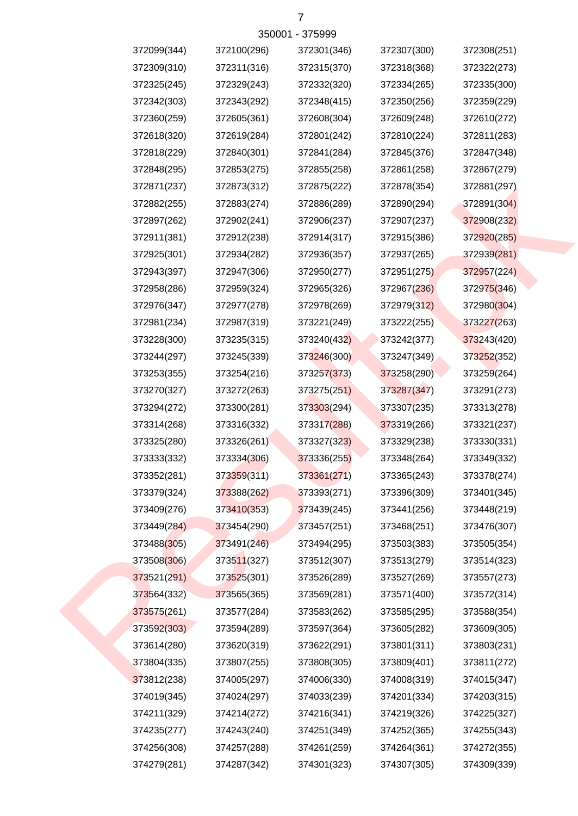| 372099(344) | 372100(296) | 372301(346) | 372307(300) | 372308(251) |
|-------------|-------------|-------------|-------------|-------------|
| 372309(310) | 372311(316) | 372315(370) | 372318(368) | 372322(273) |
| 372325(245) | 372329(243) | 372332(320) | 372334(265) | 372335(300) |
| 372342(303) | 372343(292) | 372348(415) | 372350(256) | 372359(229) |
| 372360(259) | 372605(361) | 372608(304) | 372609(248) | 372610(272) |
| 372618(320) | 372619(284) | 372801(242) | 372810(224) | 372811(283) |
| 372818(229) | 372840(301) | 372841(284) | 372845(376) | 372847(348) |
| 372848(295) | 372853(275) | 372855(258) | 372861(258) | 372867(279) |
| 372871(237) | 372873(312) | 372875(222) | 372878(354) | 372881(297) |
| 372882(255) | 372883(274) | 372886(289) | 372890(294) | 372891(304) |
| 372897(262) | 372902(241) | 372906(237) | 372907(237) | 372908(232) |
| 372911(381) | 372912(238) | 372914(317) | 372915(386) | 372920(285) |
| 372925(301) | 372934(282) | 372936(357) | 372937(265) | 372939(281) |
| 372943(397) | 372947(306) | 372950(277) | 372951(275) | 372957(224) |
| 372958(286) | 372959(324) | 372965(326) | 372967(236) | 372975(346) |
| 372976(347) | 372977(278) | 372978(269) | 372979(312) | 372980(304) |
| 372981(234) | 372987(319) | 373221(249) | 373222(255) | 373227(263) |
| 373228(300) | 373235(315) | 373240(432) | 373242(377) | 373243(420) |
| 373244(297) | 373245(339) | 373246(300) | 373247(349) | 373252(352) |
| 373253(355) | 373254(216) | 373257(373) | 373258(290) | 373259(264) |
| 373270(327) | 373272(263) | 373275(251) | 373287(347) | 373291(273) |
| 373294(272) | 373300(281) | 373303(294) | 373307(235) | 373313(278) |
| 373314(268) | 373316(332) | 373317(288) | 373319(266) | 373321(237) |
| 373325(280) | 373326(261) | 373327(323) | 373329(238) | 373330(331) |
| 373333(332) | 373334(306) | 373336(255) | 373348(264) | 373349(332) |
| 373352(281) | 373359(311) | 373361(271) | 373365(243) | 373378(274) |
| 373379(324) | 373388(262) | 373393(271) | 373396(309) | 373401(345) |
| 373409(276) | 373410(353) | 373439(245) | 373441(256) | 373448(219) |
| 373449(284) | 373454(290) | 373457(251) | 373468(251) | 373476(307) |
| 373488(305) | 373491(246) | 373494(295) | 373503(383) | 373505(354) |
| 373508(306) | 373511(327) | 373512(307) | 373513(279) | 373514(323) |
| 373521(291) | 373525(301) | 373526(289) | 373527(269) | 373557(273) |
| 373564(332) | 373565(365) | 373569(281) | 373571(400) | 373572(314) |
| 373575(261) | 373577(284) | 373583(262) | 373585(295) | 373588(354) |
| 373592(303) | 373594(289) | 373597(364) | 373605(282) | 373609(305) |
| 373614(280) | 373620(319) | 373622(291) | 373801(311) | 373803(231) |
| 373804(335) | 373807(255) | 373808(305) | 373809(401) | 373811(272) |
| 373812(238) | 374005(297) | 374006(330) | 374008(319) | 374015(347) |
| 374019(345) | 374024(297) | 374033(239) | 374201(334) | 374203(315) |
| 374211(329) | 374214(272) | 374216(341) | 374219(326) | 374225(327) |
| 374235(277) | 374243(240) | 374251(349) | 374252(365) | 374255(343) |
| 374256(308) | 374257(288) | 374261(259) | 374264(361) | 374272(355) |
| 374279(281) | 374287(342) | 374301(323) | 374307(305) | 374309(339) |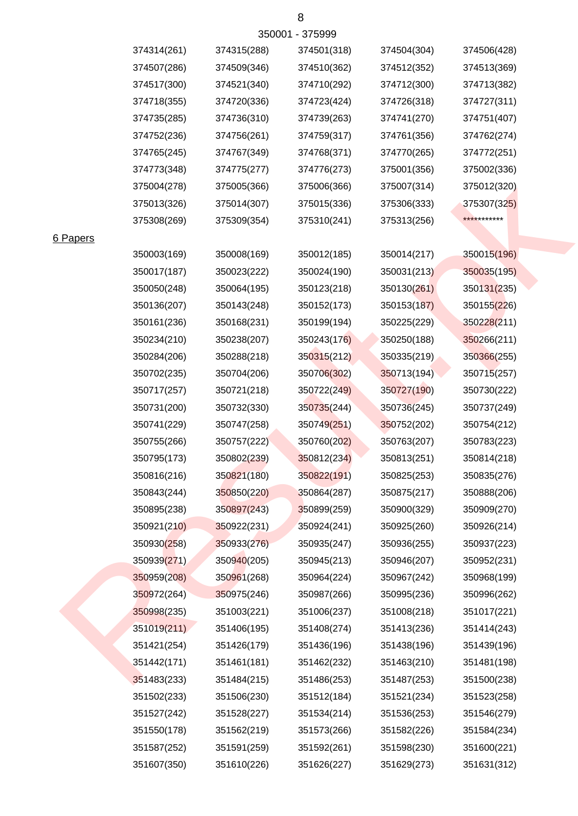|               |             |             | 350001 - 375999 |             |             |
|---------------|-------------|-------------|-----------------|-------------|-------------|
|               | 374314(261) | 374315(288) | 374501(318)     | 374504(304) | 374506(428) |
|               | 374507(286) | 374509(346) | 374510(362)     | 374512(352) | 374513(369) |
|               | 374517(300) | 374521(340) | 374710(292)     | 374712(300) | 374713(382) |
|               | 374718(355) | 374720(336) | 374723(424)     | 374726(318) | 374727(311) |
|               | 374735(285) | 374736(310) | 374739(263)     | 374741(270) | 374751(407) |
|               | 374752(236) | 374756(261) | 374759(317)     | 374761(356) | 374762(274) |
|               | 374765(245) | 374767(349) | 374768(371)     | 374770(265) | 374772(251) |
|               | 374773(348) | 374775(277) | 374776(273)     | 375001(356) | 375002(336) |
|               | 375004(278) | 375005(366) | 375006(366)     | 375007(314) | 375012(320) |
|               | 375013(326) | 375014(307) | 375015(336)     | 375306(333) | 375307(325) |
|               | 375308(269) | 375309(354) | 375310(241)     | 375313(256) | *********** |
| <b>Papers</b> |             |             |                 |             |             |
|               | 350003(169) | 350008(169) | 350012(185)     | 350014(217) | 350015(196) |
|               | 350017(187) | 350023(222) | 350024(190)     | 350031(213) | 350035(195) |
|               | 350050(248) | 350064(195) | 350123(218)     | 350130(261) | 350131(235) |
|               | 350136(207) | 350143(248) | 350152(173)     | 350153(187) | 350155(226) |
|               | 350161(236) | 350168(231) | 350199(194)     | 350225(229) | 350228(211) |
|               | 350234(210) | 350238(207) | 350243(176)     | 350250(188) | 350266(211) |
|               | 350284(206) | 350288(218) | 350315(212)     | 350335(219) | 350366(255) |
|               | 350702(235) | 350704(206) | 350706(302)     | 350713(194) | 350715(257) |
|               | 350717(257) | 350721(218) | 350722(249)     | 350727(190) | 350730(222) |
|               | 350731(200) | 350732(330) | 350735(244)     | 350736(245) | 350737(249) |
|               | 350741(229) | 350747(258) | 350749(251)     | 350752(202) | 350754(212) |
|               | 350755(266) | 350757(222) | 350760(202)     | 350763(207) | 350783(223) |
|               | 350795(173) | 350802(239) | 350812(234)     | 350813(251) | 350814(218) |
|               | 350816(216) | 350821(180) | 350822(191)     | 350825(253) | 350835(276) |
|               | 350843(244) | 350850(220) | 350864(287)     | 350875(217) | 350888(206) |
|               | 350895(238) | 350897(243) | 350899(259)     | 350900(329) | 350909(270) |
|               | 350921(210) | 350922(231) | 350924(241)     | 350925(260) | 350926(214) |
|               | 350930(258) | 350933(276) | 350935(247)     | 350936(255) | 350937(223) |
|               | 350939(271) | 350940(205) | 350945(213)     | 350946(207) | 350952(231) |
|               | 350959(208) | 350961(268) | 350964(224)     | 350967(242) | 350968(199) |
|               | 350972(264) | 350975(246) | 350987(266)     | 350995(236) | 350996(262) |
|               | 350998(235) | 351003(221) | 351006(237)     | 351008(218) | 351017(221) |
|               | 351019(211) | 351406(195) | 351408(274)     | 351413(236) | 351414(243) |
|               | 351421(254) | 351426(179) | 351436(196)     | 351438(196) | 351439(196) |
|               | 351442(171) | 351461(181) | 351462(232)     | 351463(210) | 351481(198) |
|               | 351483(233) | 351484(215) | 351486(253)     | 351487(253) | 351500(238) |
|               | 351502(233) | 351506(230) | 351512(184)     | 351521(234) | 351523(258) |
|               | 351527(242) | 351528(227) | 351534(214)     | 351536(253) | 351546(279) |
|               | 351550(178) | 351562(219) | 351573(266)     | 351582(226) | 351584(234) |
|               | 351587(252) | 351591(259) | 351592(261)     | 351598(230) | 351600(221) |

351607(350) 351610(226) 351626(227) 351629(273) 351631(312)

# 6 Papers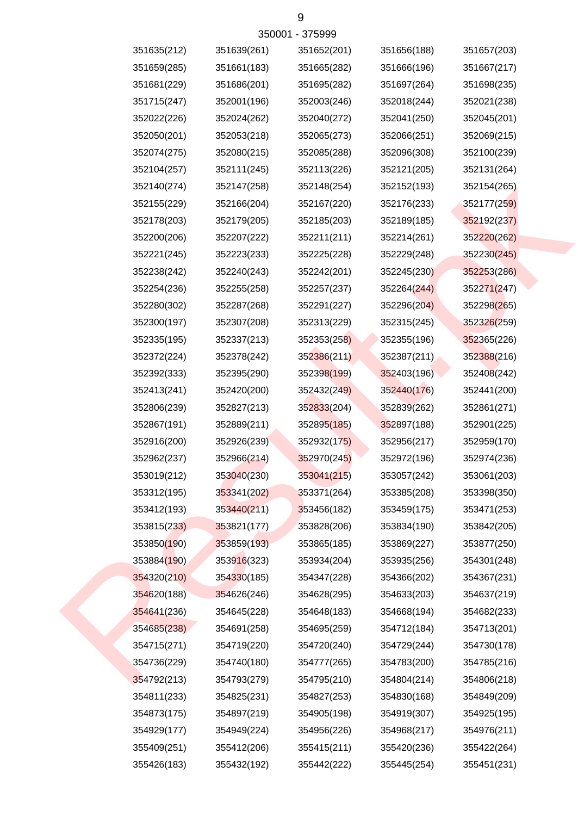| 351635(212) | 351639(261) | 351652(201) | 351656(188) | 351657(203) |
|-------------|-------------|-------------|-------------|-------------|
| 351659(285) | 351661(183) | 351665(282) | 351666(196) | 351667(217) |
| 351681(229) | 351686(201) | 351695(282) | 351697(264) | 351698(235) |
| 351715(247) | 352001(196) | 352003(246) | 352018(244) | 352021(238) |
| 352022(226) | 352024(262) | 352040(272) | 352041(250) | 352045(201) |
| 352050(201) | 352053(218) | 352065(273) | 352066(251) | 352069(215) |
| 352074(275) | 352080(215) | 352085(288) | 352096(308) | 352100(239) |
| 352104(257) | 352111(245) | 352113(226) | 352121(205) | 352131(264) |
| 352140(274) | 352147(258) | 352148(254) | 352152(193) | 352154(265) |
| 352155(229) | 352166(204) | 352167(220) | 352176(233) | 352177(259) |
| 352178(203) | 352179(205) | 352185(203) | 352189(185) | 352192(237) |
| 352200(206) | 352207(222) | 352211(211) | 352214(261) | 352220(262) |
| 352221(245) | 352223(233) | 352225(228) | 352229(248) | 352230(245) |
| 352238(242) | 352240(243) | 352242(201) | 352245(230) | 352253(286) |
| 352254(236) | 352255(258) | 352257(237) | 352264(244) | 352271(247) |
| 352280(302) | 352287(268) | 352291(227) | 352296(204) | 352298(265) |
| 352300(197) | 352307(208) | 352313(229) | 352315(245) | 352326(259) |
| 352335(195) | 352337(213) | 352353(258) | 352355(196) | 352365(226) |
| 352372(224) | 352378(242) | 352386(211) | 352387(211) | 352388(216) |
| 352392(333) | 352395(290) | 352398(199) | 352403(196) | 352408(242) |
| 352413(241) | 352420(200) | 352432(249) | 352440(176) | 352441(200) |
| 352806(239) | 352827(213) | 352833(204) | 352839(262) | 352861(271) |
| 352867(191) | 352889(211) | 352895(185) | 352897(188) | 352901(225) |
| 352916(200) | 352926(239) | 352932(175) | 352956(217) | 352959(170) |
| 352962(237) | 352966(214) | 352970(245) | 352972(196) | 352974(236) |
| 353019(212) | 353040(230) | 353041(215) | 353057(242) | 353061(203) |
| 353312(195) | 353341(202) | 353371(264) | 353385(208) | 353398(350) |
| 353412(193) | 353440(211) | 353456(182) | 353459(175) | 353471(253) |
| 353815(233) | 353821(177) | 353828(206) | 353834(190) | 353842(205) |
| 353850(190) | 353859(193) | 353865(185) | 353869(227) | 353877(250) |
| 353884(190) | 353916(323) | 353934(204) | 353935(256) | 354301(248) |
| 354320(210) | 354330(185) | 354347(228) | 354366(202) | 354367(231) |
| 354620(188) | 354626(246) | 354628(295) | 354633(203) | 354637(219) |
| 354641(236) | 354645(228) | 354648(183) | 354668(194) | 354682(233) |
| 354685(238) | 354691(258) | 354695(259) | 354712(184) | 354713(201) |
| 354715(271) | 354719(220) | 354720(240) | 354729(244) | 354730(178) |
| 354736(229) | 354740(180) | 354777(265) | 354783(200) | 354785(216) |
| 354792(213) | 354793(279) | 354795(210) | 354804(214) | 354806(218) |
| 354811(233) | 354825(231) | 354827(253) | 354830(168) | 354849(209) |
| 354873(175) | 354897(219) | 354905(198) | 354919(307) | 354925(195) |
| 354929(177) | 354949(224) | 354956(226) | 354968(217) | 354976(211) |
| 355409(251) | 355412(206) | 355415(211) | 355420(236) | 355422(264) |
| 355426(183) | 355432(192) | 355442(222) | 355445(254) | 355451(231) |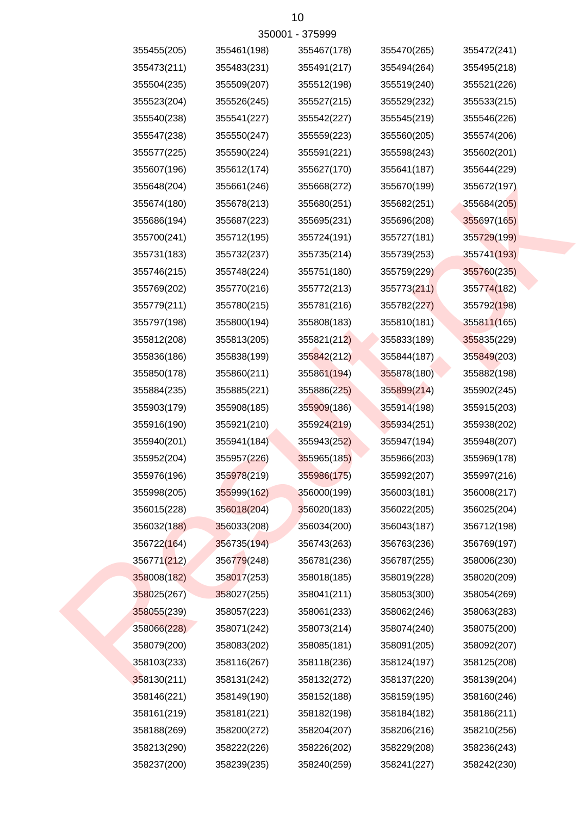|             |             | 10              |             |             |
|-------------|-------------|-----------------|-------------|-------------|
|             |             | 350001 - 375999 |             |             |
| 355455(205) | 355461(198) | 355467(178)     | 355470(265) | 355472(241) |
| 355473(211) | 355483(231) | 355491(217)     | 355494(264) | 355495(218) |
| 355504(235) | 355509(207) | 355512(198)     | 355519(240) | 355521(226) |
| 355523(204) | 355526(245) | 355527(215)     | 355529(232) | 355533(215) |
| 355540(238) | 355541(227) | 355542(227)     | 355545(219) | 355546(226) |
| 355547(238) | 355550(247) | 355559(223)     | 355560(205) | 355574(206) |
| 355577(225) | 355590(224) | 355591(221)     | 355598(243) | 355602(201) |
| 355607(196) | 355612(174) | 355627(170)     | 355641(187) | 355644(229) |
| 355648(204) | 355661(246) | 355668(272)     | 355670(199) | 355672(197) |
| 355674(180) | 355678(213) | 355680(251)     | 355682(251) | 355684(205) |
| 355686(194) | 355687(223) | 355695(231)     | 355696(208) | 355697(165) |
| 355700(241) | 355712(195) | 355724(191)     | 355727(181) | 355729(199) |
| 355731(183) | 355732(237) | 355735(214)     | 355739(253) | 355741(193) |
| 355746(215) | 355748(224) | 355751(180)     | 355759(229) | 355760(235) |
| 355769(202) | 355770(216) | 355772(213)     | 355773(211) | 355774(182) |
| 355779(211) | 355780(215) | 355781(216)     | 355782(227) | 355792(198) |
| 355797(198) | 355800(194) | 355808(183)     | 355810(181) | 355811(165) |
| 355812(208) | 355813(205) | 355821(212)     | 355833(189) | 355835(229) |
| 355836(186) | 355838(199) | 355842(212)     | 355844(187) | 355849(203) |
| 355850(178) | 355860(211) | 355861(194)     | 355878(180) | 355882(198) |
| 355884(235) | 355885(221) | 355886(225)     | 355899(214) | 355902(245) |
| 355903(179) | 355908(185) | 355909(186)     | 355914(198) | 355915(203) |
| 355916(190) | 355921(210) | 355924(219)     | 355934(251) | 355938(202) |
| 355940(201) | 355941(184) | 355943(252)     | 355947(194) | 355948(207) |
| 355952(204) | 355957(226) | 355965(185)     | 355966(203) | 355969(178) |
| 355976(196) | 355978(219) | 355986(175)     | 355992(207) | 355997(216) |
| 355998(205) | 355999(162) | 356000(199)     | 356003(181) | 356008(217) |
| 356015(228) | 356018(204) | 356020(183)     | 356022(205) | 356025(204) |
| 356032(188) | 356033(208) | 356034(200)     | 356043(187) | 356712(198) |
| 356722(164) | 356735(194) | 356743(263)     | 356763(236) | 356769(197) |
| 356771(212) | 356779(248) | 356781(236)     | 356787(255) | 358006(230) |
| 358008(182) | 358017(253) | 358018(185)     | 358019(228) | 358020(209) |
| 358025(267) | 358027(255) | 358041(211)     | 358053(300) | 358054(269) |
| 358055(239) | 358057(223) | 358061(233)     | 358062(246) | 358063(283) |
| 358066(228) | 358071(242) | 358073(214)     | 358074(240) | 358075(200) |
| 358079(200) | 358083(202) | 358085(181)     | 358091(205) | 358092(207) |
| 358103(233) | 358116(267) | 358118(236)     | 358124(197) | 358125(208) |
| 358130(211) | 358131(242) | 358132(272)     | 358137(220) | 358139(204) |

358213(290) 358222(226) 358226(202) 358229(208) 358236(243) 358188(269) 358200(272) 358204(207) 358206(216) 358210(256)

358161(219) 358181(221) 358182(198) 358184(182) 358186(211)

358146(221) 358149(190) 358152(188) 358159(195) 358160(246) 358130(211) 358131(242) 358132(272) 358137(220) 358139(204)

358237(200) 358239(235) 358240(259) 358241(227) 358242(230)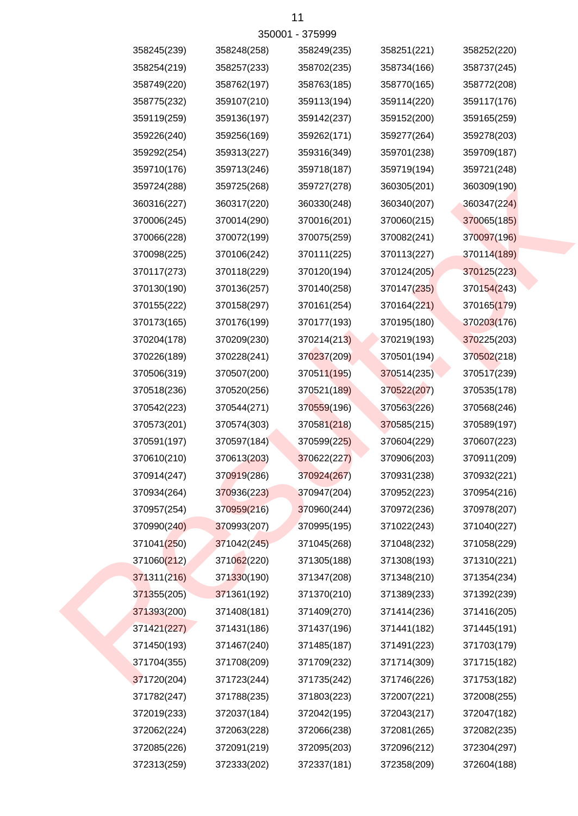|             |             | <u>ວວດດດ i - ၁៶ ວລລລ</u> |             |             |
|-------------|-------------|--------------------------|-------------|-------------|
| 358245(239) | 358248(258) | 358249(235)              | 358251(221) | 358252(220) |
| 358254(219) | 358257(233) | 358702(235)              | 358734(166) | 358737(245) |
| 358749(220) | 358762(197) | 358763(185)              | 358770(165) | 358772(208) |
| 358775(232) | 359107(210) | 359113(194)              | 359114(220) | 359117(176) |
| 359119(259) | 359136(197) | 359142(237)              | 359152(200) | 359165(259) |
| 359226(240) | 359256(169) | 359262(171)              | 359277(264) | 359278(203) |
| 359292(254) | 359313(227) | 359316(349)              | 359701(238) | 359709(187) |
| 359710(176) | 359713(246) | 359718(187)              | 359719(194) | 359721(248) |
| 359724(288) | 359725(268) | 359727(278)              | 360305(201) | 360309(190) |
| 360316(227) | 360317(220) | 360330(248)              | 360340(207) | 360347(224) |
| 370006(245) | 370014(290) | 370016(201)              | 370060(215) | 370065(185) |
| 370066(228) | 370072(199) | 370075(259)              | 370082(241) | 370097(196) |
| 370098(225) | 370106(242) | 370111(225)              | 370113(227) | 370114(189) |
| 370117(273) | 370118(229) | 370120(194)              | 370124(205) | 370125(223) |
| 370130(190) | 370136(257) | 370140(258)              | 370147(235) | 370154(243) |
| 370155(222) | 370158(297) | 370161(254)              | 370164(221) | 370165(179) |
| 370173(165) | 370176(199) | 370177(193)              | 370195(180) | 370203(176) |
| 370204(178) | 370209(230) | 370214(213)              | 370219(193) | 370225(203) |
| 370226(189) | 370228(241) | 370237(209)              | 370501(194) | 370502(218) |
| 370506(319) | 370507(200) | 370511(195)              | 370514(235) | 370517(239) |
| 370518(236) | 370520(256) | 370521(189)              | 370522(207) | 370535(178) |
| 370542(223) | 370544(271) | 370559(196)              | 370563(226) | 370568(246) |
| 370573(201) | 370574(303) | 370581(218)              | 370585(215) | 370589(197) |
| 370591(197) | 370597(184) | 370599(225)              | 370604(229) | 370607(223) |
| 370610(210) | 370613(203) | 370622(227)              | 370906(203) | 370911(209) |
| 370914(247) | 370919(286) | 370924(267)              | 370931(238) | 370932(221) |
| 370934(264) | 370936(223) | 370947(204)              | 370952(223) | 370954(216) |
| 370957(254) | 370959(216) | 370960(244)              | 370972(236) | 370978(207) |
| 370990(240) | 370993(207) | 370995(195)              | 371022(243) | 371040(227) |
| 371041(250) | 371042(245) | 371045(268)              | 371048(232) | 371058(229) |
| 371060(212) | 371062(220) | 371305(188)              | 371308(193) | 371310(221) |
| 371311(216) | 371330(190) | 371347(208)              | 371348(210) | 371354(234) |
| 371355(205) | 371361(192) | 371370(210)              | 371389(233) | 371392(239) |
| 371393(200) | 371408(181) | 371409(270)              | 371414(236) | 371416(205) |
| 371421(227) | 371431(186) | 371437(196)              | 371441(182) | 371445(191) |
| 371450(193) | 371467(240) | 371485(187)              | 371491(223) | 371703(179) |
| 371704(355) | 371708(209) | 371709(232)              | 371714(309) | 371715(182) |
| 371720(204) | 371723(244) | 371735(242)              | 371746(226) | 371753(182) |
| 371782(247) | 371788(235) | 371803(223)              | 372007(221) | 372008(255) |
| 372019(233) | 372037(184) | 372042(195)              | 372043(217) | 372047(182) |
| 372062(224) | 372063(228) | 372066(238)              | 372081(265) | 372082(235) |
| 372085(226) | 372091(219) | 372095(203)              | 372096(212) | 372304(297) |
| 372313(259) | 372333(202) | 372337(181)              | 372358(209) | 372604(188) |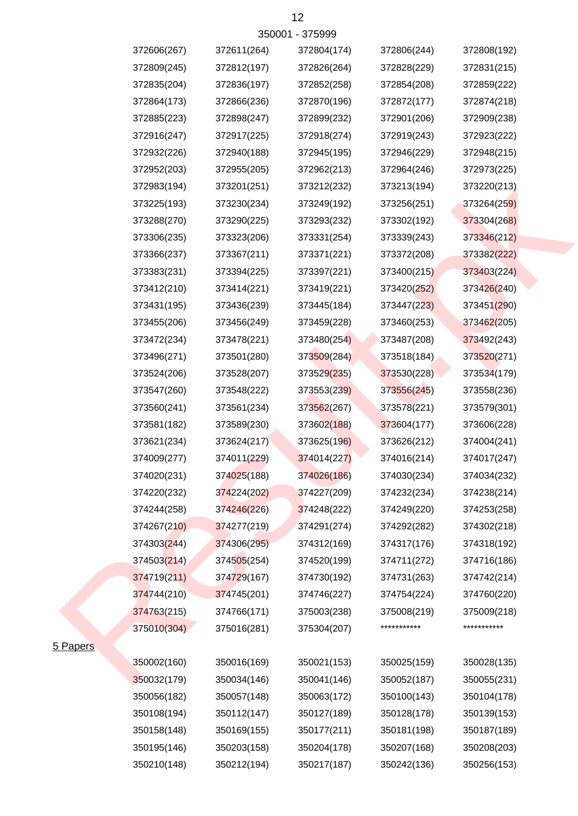|               |             |             | 350001 - 375999 |             |             |
|---------------|-------------|-------------|-----------------|-------------|-------------|
|               | 372606(267) | 372611(264) | 372804(174)     | 372806(244) | 372808(192) |
|               | 372809(245) | 372812(197) | 372826(264)     | 372828(229) | 372831(215) |
|               | 372835(204) | 372836(197) | 372852(258)     | 372854(208) | 372859(222) |
|               | 372864(173) | 372866(236) | 372870(196)     | 372872(177) | 372874(218) |
|               | 372885(223) | 372898(247) | 372899(232)     | 372901(206) | 372909(238) |
|               | 372916(247) | 372917(225) | 372918(274)     | 372919(243) | 372923(222) |
|               | 372932(226) | 372940(188) | 372945(195)     | 372946(229) | 372948(215) |
|               | 372952(203) | 372955(205) | 372962(213)     | 372964(246) | 372973(225) |
|               | 372983(194) | 373201(251) | 373212(232)     | 373213(194) | 373220(213) |
|               | 373225(193) | 373230(234) | 373249(192)     | 373256(251) | 373264(259) |
|               | 373288(270) | 373290(225) | 373293(232)     | 373302(192) | 373304(268) |
|               | 373306(235) | 373323(206) | 373331(254)     | 373339(243) | 373346(212) |
|               | 373366(237) | 373367(211) | 373371(221)     | 373372(208) | 373382(222) |
|               | 373383(231) | 373394(225) | 373397(221)     | 373400(215) | 373403(224) |
|               | 373412(210) | 373414(221) | 373419(221)     | 373420(252) | 373426(240) |
|               | 373431(195) | 373436(239) | 373445(184)     | 373447(223) | 373451(290) |
|               | 373455(206) | 373456(249) | 373459(228)     | 373460(253) | 373462(205) |
|               | 373472(234) | 373478(221) | 373480(254)     | 373487(208) | 373492(243) |
|               | 373496(271) | 373501(280) | 373509(284)     | 373518(184) | 373520(271) |
|               | 373524(206) | 373528(207) | 373529(235)     | 373530(228) | 373534(179) |
|               | 373547(260) | 373548(222) | 373553(239)     | 373556(245) | 373558(236) |
|               | 373560(241) | 373561(234) | 373562(267)     | 373578(221) | 373579(301) |
|               | 373581(182) | 373589(230) | 373602(188)     | 373604(177) | 373606(228) |
|               | 373621(234) | 373624(217) | 373625(196)     | 373626(212) | 374004(241) |
|               | 374009(277) | 374011(229) | 374014(227)     | 374016(214) | 374017(247) |
|               | 374020(231) | 374025(188) | 374026(186)     | 374030(234) | 374034(232) |
|               | 374220(232) | 374224(202) | 374227(209)     | 374232(234) | 374238(214) |
|               | 374244(258) | 374246(226) | 374248(222)     | 374249(220) | 374253(258) |
|               | 374267(210) | 374277(219) | 374291(274)     | 374292(282) | 374302(218) |
|               | 374303(244) | 374306(295) | 374312(169)     | 374317(176) | 374318(192) |
|               | 374503(214) | 374505(254) | 374520(199)     | 374711(272) | 374716(186) |
|               | 374719(211) | 374729(167) | 374730(192)     | 374731(263) | 374742(214) |
|               | 374744(210) | 374745(201) | 374746(227)     | 374754(224) | 374760(220) |
|               | 374763(215) | 374766(171) | 375003(238)     | 375008(219) | 375009(218) |
|               | 375010(304) | 375016(281) | 375304(207)     | *********** | *********** |
| <b>Papers</b> |             |             |                 |             |             |
|               | 350002(160) | 350016(169) | 350021(153)     | 350025(159) | 350028(135) |
|               | 350032(179) | 350034(146) | 350041(146)     | 350052(187) | 350055(231) |
|               | 350056(182) | 350057(148) | 350063(172)     | 350100(143) | 350104(178) |
|               | 350108(194) | 350112(147) | 350127(189)     | 350128(178) | 350139(153) |
|               | 350158(148) | 350169(155) | 350177(211)     | 350181(198) | 350187(189) |
|               | 350195(146) | 350203(158) | 350204(178)     | 350207(168) | 350208(203) |
|               | 350210(148) | 350212(194) | 350217(187)     | 350242(136) | 350256(153) |

# 5 Papers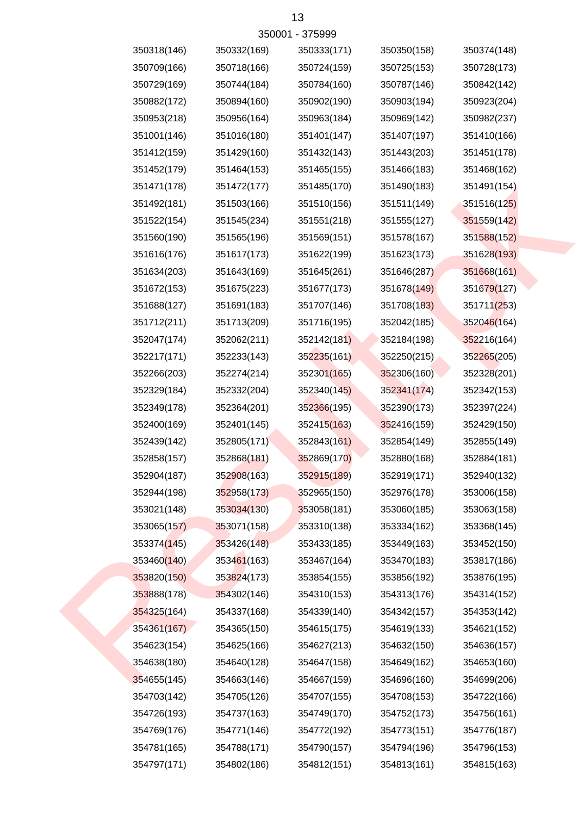|             |             | 32000 I - 312999 |             |             |
|-------------|-------------|------------------|-------------|-------------|
| 350318(146) | 350332(169) | 350333(171)      | 350350(158) | 350374(148) |
| 350709(166) | 350718(166) | 350724(159)      | 350725(153) | 350728(173) |
| 350729(169) | 350744(184) | 350784(160)      | 350787(146) | 350842(142) |
| 350882(172) | 350894(160) | 350902(190)      | 350903(194) | 350923(204) |
| 350953(218) | 350956(164) | 350963(184)      | 350969(142) | 350982(237) |
| 351001(146) | 351016(180) | 351401(147)      | 351407(197) | 351410(166) |
| 351412(159) | 351429(160) | 351432(143)      | 351443(203) | 351451(178) |
| 351452(179) | 351464(153) | 351465(155)      | 351466(183) | 351468(162) |
| 351471(178) | 351472(177) | 351485(170)      | 351490(183) | 351491(154) |
| 351492(181) | 351503(166) | 351510(156)      | 351511(149) | 351516(125) |
| 351522(154) | 351545(234) | 351551(218)      | 351555(127) | 351559(142) |
| 351560(190) | 351565(196) | 351569(151)      | 351578(167) | 351588(152) |
| 351616(176) | 351617(173) | 351622(199)      | 351623(173) | 351628(193) |
| 351634(203) | 351643(169) | 351645(261)      | 351646(287) | 351668(161) |
| 351672(153) | 351675(223) | 351677(173)      | 351678(149) | 351679(127) |
| 351688(127) | 351691(183) | 351707(146)      | 351708(183) | 351711(253) |
| 351712(211) | 351713(209) | 351716(195)      | 352042(185) | 352046(164) |
| 352047(174) | 352062(211) | 352142(181)      | 352184(198) | 352216(164) |
| 352217(171) | 352233(143) | 352235(161)      | 352250(215) | 352265(205) |
| 352266(203) | 352274(214) | 352301(165)      | 352306(160) | 352328(201) |
| 352329(184) | 352332(204) | 352340(145)      | 352341(174) | 352342(153) |
| 352349(178) | 352364(201) | 352366(195)      | 352390(173) | 352397(224) |
| 352400(169) | 352401(145) | 352415(163)      | 352416(159) | 352429(150) |
| 352439(142) | 352805(171) | 352843(161)      | 352854(149) | 352855(149) |
| 352858(157) | 352868(181) | 352869(170)      | 352880(168) | 352884(181) |
| 352904(187) | 352908(163) | 352915(189)      | 352919(171) | 352940(132) |
| 352944(198) | 352958(173) | 352965(150)      | 352976(178) | 353006(158) |
| 353021(148) | 353034(130) | 353058(181)      | 353060(185) | 353063(158) |
| 353065(157) | 353071(158) | 353310(138)      | 353334(162) | 353368(145) |
| 353374(145) | 353426(148) | 353433(185)      | 353449(163) | 353452(150) |
| 353460(140) | 353461(163) | 353467(164)      | 353470(183) | 353817(186) |
| 353820(150) | 353824(173) | 353854(155)      | 353856(192) | 353876(195) |
| 353888(178) | 354302(146) | 354310(153)      | 354313(176) | 354314(152) |
| 354325(164) | 354337(168) | 354339(140)      | 354342(157) | 354353(142) |
| 354361(167) | 354365(150) | 354615(175)      | 354619(133) | 354621(152) |
| 354623(154) | 354625(166) | 354627(213)      | 354632(150) | 354636(157) |
| 354638(180) | 354640(128) | 354647(158)      | 354649(162) | 354653(160) |
| 354655(145) | 354663(146) | 354667(159)      | 354696(160) | 354699(206) |
| 354703(142) | 354705(126) | 354707(155)      | 354708(153) | 354722(166) |
| 354726(193) | 354737(163) | 354749(170)      | 354752(173) | 354756(161) |
| 354769(176) | 354771(146) | 354772(192)      | 354773(151) | 354776(187) |
| 354781(165) | 354788(171) | 354790(157)      | 354794(196) | 354796(153) |
| 354797(171) | 354802(186) | 354812(151)      | 354813(161) | 354815(163) |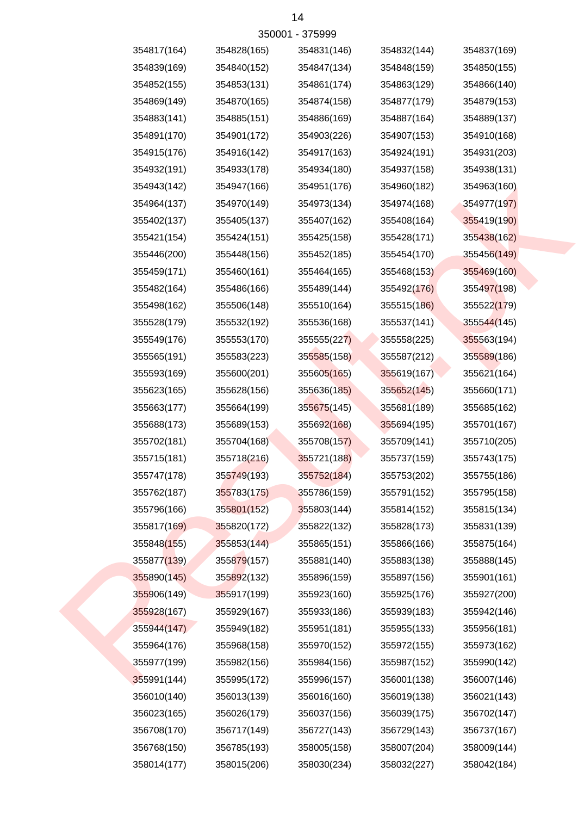|             |             | <u>JJUUU LE JI JJJJJ</u> |             |             |
|-------------|-------------|--------------------------|-------------|-------------|
| 354817(164) | 354828(165) | 354831(146)              | 354832(144) | 354837(169) |
| 354839(169) | 354840(152) | 354847(134)              | 354848(159) | 354850(155) |
| 354852(155) | 354853(131) | 354861(174)              | 354863(129) | 354866(140) |
| 354869(149) | 354870(165) | 354874(158)              | 354877(179) | 354879(153) |
| 354883(141) | 354885(151) | 354886(169)              | 354887(164) | 354889(137) |
| 354891(170) | 354901(172) | 354903(226)              | 354907(153) | 354910(168) |
| 354915(176) | 354916(142) | 354917(163)              | 354924(191) | 354931(203) |
| 354932(191) | 354933(178) | 354934(180)              | 354937(158) | 354938(131) |
| 354943(142) | 354947(166) | 354951(176)              | 354960(182) | 354963(160) |
| 354964(137) | 354970(149) | 354973(134)              | 354974(168) | 354977(197) |
| 355402(137) | 355405(137) | 355407(162)              | 355408(164) | 355419(190) |
| 355421(154) | 355424(151) | 355425(158)              | 355428(171) | 355438(162) |
| 355446(200) | 355448(156) | 355452(185)              | 355454(170) | 355456(149) |
| 355459(171) | 355460(161) | 355464(165)              | 355468(153) | 355469(160) |
| 355482(164) | 355486(166) | 355489(144)              | 355492(176) | 355497(198) |
| 355498(162) | 355506(148) | 355510(164)              | 355515(186) | 355522(179) |
| 355528(179) | 355532(192) | 355536(168)              | 355537(141) | 355544(145) |
| 355549(176) | 355553(170) | 355555(227)              | 355558(225) | 355563(194) |
| 355565(191) | 355583(223) | 355585(158)              | 355587(212) | 355589(186) |
| 355593(169) | 355600(201) | 355605(165)              | 355619(167) | 355621(164) |
| 355623(165) | 355628(156) | 355636(185)              | 355652(145) | 355660(171) |
| 355663(177) | 355664(199) | 355675(145)              | 355681(189) | 355685(162) |
| 355688(173) | 355689(153) | 355692(168)              | 355694(195) | 355701(167) |
| 355702(181) | 355704(168) | 355708(157)              | 355709(141) | 355710(205) |
| 355715(181) | 355718(216) | 355721(188)              | 355737(159) | 355743(175) |
| 355747(178) | 355749(193) | 355752(184)              | 355753(202) | 355755(186) |
| 355762(187) | 355783(175) | 355786(159)              | 355791(152) | 355795(158) |
| 355796(166) | 355801(152) | 355803(144)              | 355814(152) | 355815(134) |
| 355817(169) | 355820(172) | 355822(132)              | 355828(173) | 355831(139) |
| 355848(155) | 355853(144) | 355865(151)              | 355866(166) | 355875(164) |
| 355877(139) | 355879(157) | 355881(140)              | 355883(138) | 355888(145) |
| 355890(145) | 355892(132) | 355896(159)              | 355897(156) | 355901(161) |
| 355906(149) | 355917(199) | 355923(160)              | 355925(176) | 355927(200) |
| 355928(167) | 355929(167) | 355933(186)              | 355939(183) | 355942(146) |
| 355944(147) | 355949(182) | 355951(181)              | 355955(133) | 355956(181) |
| 355964(176) | 355968(158) | 355970(152)              | 355972(155) | 355973(162) |
| 355977(199) | 355982(156) | 355984(156)              | 355987(152) | 355990(142) |
| 355991(144) | 355995(172) | 355996(157)              | 356001(138) | 356007(146) |
| 356010(140) | 356013(139) | 356016(160)              | 356019(138) | 356021(143) |
| 356023(165) | 356026(179) | 356037(156)              | 356039(175) | 356702(147) |
| 356708(170) | 356717(149) | 356727(143)              | 356729(143) | 356737(167) |
| 356768(150) | 356785(193) | 358005(158)              | 358007(204) | 358009(144) |
| 358014(177) | 358015(206) | 358030(234)              | 358032(227) | 358042(184) |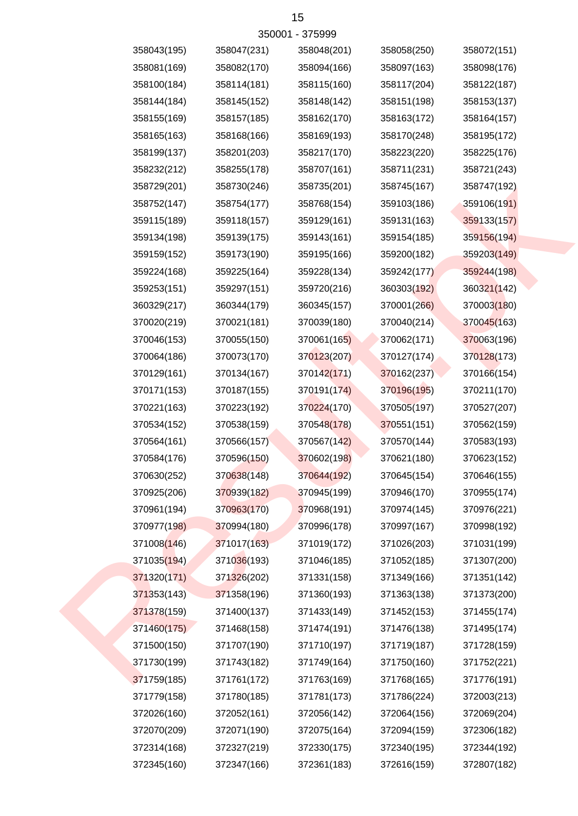| 358043(195) | 358047(231) | 358048(201) | 358058(250) | 358072(151) |
|-------------|-------------|-------------|-------------|-------------|
| 358081(169) | 358082(170) | 358094(166) | 358097(163) | 358098(176) |
| 358100(184) | 358114(181) | 358115(160) | 358117(204) | 358122(187) |
| 358144(184) | 358145(152) | 358148(142) | 358151(198) | 358153(137) |
| 358155(169) | 358157(185) | 358162(170) | 358163(172) | 358164(157) |
| 358165(163) | 358168(166) | 358169(193) | 358170(248) | 358195(172) |
| 358199(137) | 358201(203) | 358217(170) | 358223(220) | 358225(176) |
| 358232(212) | 358255(178) | 358707(161) | 358711(231) | 358721(243) |
| 358729(201) | 358730(246) | 358735(201) | 358745(167) | 358747(192) |
| 358752(147) | 358754(177) | 358768(154) | 359103(186) | 359106(191) |
| 359115(189) | 359118(157) | 359129(161) | 359131(163) | 359133(157) |
| 359134(198) | 359139(175) | 359143(161) | 359154(185) | 359156(194) |
| 359159(152) | 359173(190) | 359195(166) | 359200(182) | 359203(149) |
| 359224(168) | 359225(164) | 359228(134) | 359242(177) | 359244(198) |
| 359253(151) | 359297(151) | 359720(216) | 360303(192) | 360321(142) |
| 360329(217) | 360344(179) | 360345(157) | 370001(266) | 370003(180) |
| 370020(219) | 370021(181) | 370039(180) | 370040(214) | 370045(163) |
| 370046(153) | 370055(150) | 370061(165) | 370062(171) | 370063(196) |
| 370064(186) | 370073(170) | 370123(207) | 370127(174) | 370128(173) |
| 370129(161) | 370134(167) | 370142(171) | 370162(237) | 370166(154) |
| 370171(153) | 370187(155) | 370191(174) | 370196(195) | 370211(170) |
| 370221(163) | 370223(192) | 370224(170) | 370505(197) | 370527(207) |
| 370534(152) | 370538(159) | 370548(178) | 370551(151) | 370562(159) |
| 370564(161) | 370566(157) | 370567(142) | 370570(144) | 370583(193) |
| 370584(176) | 370596(150) | 370602(198) | 370621(180) | 370623(152) |
| 370630(252) | 370638(148) | 370644(192) | 370645(154) | 370646(155) |
| 370925(206) | 370939(182) | 370945(199) | 370946(170) | 370955(174) |
| 370961(194) | 370963(170) | 370968(191) | 370974(145) | 370976(221) |
| 370977(198) | 370994(180) | 370996(178) | 370997(167) | 370998(192) |
| 371008(146) | 371017(163) | 371019(172) | 371026(203) | 371031(199) |
| 371035(194) | 371036(193) | 371046(185) | 371052(185) | 371307(200) |
| 371320(171) | 371326(202) | 371331(158) | 371349(166) | 371351(142) |
| 371353(143) | 371358(196) | 371360(193) | 371363(138) | 371373(200) |
| 371378(159) | 371400(137) | 371433(149) | 371452(153) | 371455(174) |
| 371460(175) | 371468(158) | 371474(191) | 371476(138) | 371495(174) |
| 371500(150) | 371707(190) | 371710(197) | 371719(187) | 371728(159) |
| 371730(199) | 371743(182) | 371749(164) | 371750(160) | 371752(221) |
| 371759(185) | 371761(172) | 371763(169) | 371768(165) | 371776(191) |
| 371779(158) | 371780(185) | 371781(173) | 371786(224) | 372003(213) |
| 372026(160) | 372052(161) | 372056(142) | 372064(156) | 372069(204) |
| 372070(209) | 372071(190) | 372075(164) | 372094(159) | 372306(182) |
| 372314(168) | 372327(219) | 372330(175) | 372340(195) | 372344(192) |
| 372345(160) | 372347(166) | 372361(183) | 372616(159) | 372807(182) |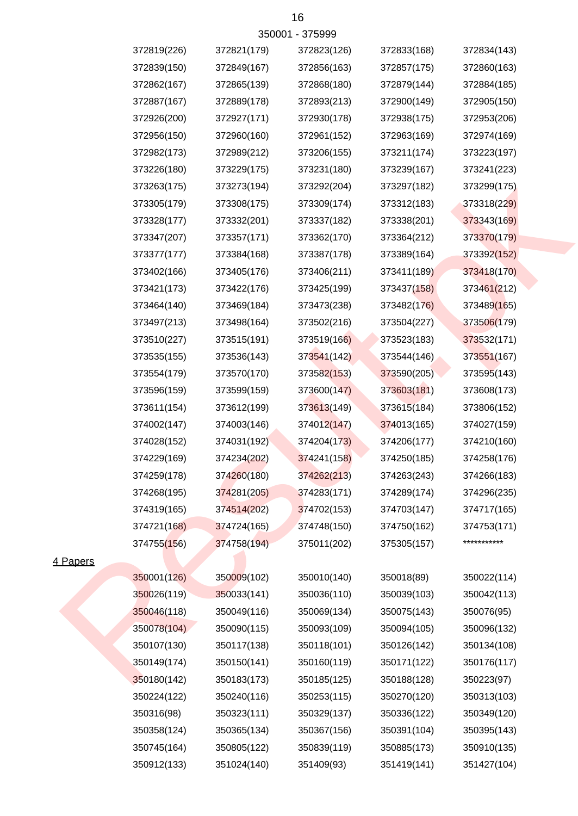|                 | 372819(226) | 372821(179) | 372823(126) | 372833(168) | 372834(143) |
|-----------------|-------------|-------------|-------------|-------------|-------------|
|                 | 372839(150) | 372849(167) | 372856(163) | 372857(175) | 372860(163) |
|                 | 372862(167) | 372865(139) | 372868(180) | 372879(144) | 372884(185) |
|                 | 372887(167) | 372889(178) | 372893(213) | 372900(149) | 372905(150) |
|                 | 372926(200) | 372927(171) | 372930(178) | 372938(175) | 372953(206) |
|                 | 372956(150) | 372960(160) | 372961(152) | 372963(169) | 372974(169) |
|                 | 372982(173) | 372989(212) | 373206(155) | 373211(174) | 373223(197) |
|                 | 373226(180) | 373229(175) | 373231(180) | 373239(167) | 373241(223) |
|                 | 373263(175) | 373273(194) | 373292(204) | 373297(182) | 373299(175) |
|                 | 373305(179) | 373308(175) | 373309(174) | 373312(183) | 373318(229) |
|                 | 373328(177) | 373332(201) | 373337(182) | 373338(201) | 373343(169) |
|                 | 373347(207) | 373357(171) | 373362(170) | 373364(212) | 373370(179) |
|                 | 373377(177) | 373384(168) | 373387(178) | 373389(164) | 373392(152) |
|                 | 373402(166) | 373405(176) | 373406(211) | 373411(189) | 373418(170) |
|                 | 373421(173) | 373422(176) | 373425(199) | 373437(158) | 373461(212) |
|                 | 373464(140) | 373469(184) | 373473(238) | 373482(176) | 373489(165) |
|                 | 373497(213) | 373498(164) | 373502(216) | 373504(227) | 373506(179) |
|                 | 373510(227) | 373515(191) | 373519(166) | 373523(183) | 373532(171) |
|                 | 373535(155) | 373536(143) | 373541(142) | 373544(146) | 373551(167) |
|                 | 373554(179) | 373570(170) | 373582(153) | 373590(205) | 373595(143) |
|                 | 373596(159) | 373599(159) | 373600(147) | 373603(181) | 373608(173) |
|                 | 373611(154) | 373612(199) | 373613(149) | 373615(184) | 373806(152) |
|                 | 374002(147) | 374003(146) | 374012(147) | 374013(165) | 374027(159) |
|                 | 374028(152) | 374031(192) | 374204(173) | 374206(177) | 374210(160) |
|                 | 374229(169) | 374234(202) | 374241(158) | 374250(185) | 374258(176) |
|                 | 374259(178) | 374260(180) | 374262(213) | 374263(243) | 374266(183) |
|                 | 374268(195) | 374281(205) | 374283(171) | 374289(174) | 374296(235) |
|                 | 374319(165) | 374514(202) | 374702(153) | 374703(147) | 374717(165) |
|                 | 374721(168) | 374724(165) | 374748(150) | 374750(162) | 374753(171) |
|                 | 374755(156) | 374758(194) | 375011(202) | 375305(157) | *********** |
| <u>I Papers</u> |             |             |             |             |             |
|                 | 350001(126) | 350009(102) | 350010(140) | 350018(89)  | 350022(114) |
|                 | 350026(119) | 350033(141) | 350036(110) | 350039(103) | 350042(113) |
|                 | 350046(118) | 350049(116) | 350069(134) | 350075(143) | 350076(95)  |
|                 | 350078(104) | 350090(115) | 350093(109) | 350094(105) | 350096(132) |
|                 | 350107(130) | 350117(138) | 350118(101) | 350126(142) | 350134(108) |
|                 | 350149(174) | 350150(141) | 350160(119) | 350171(122) | 350176(117) |
|                 | 350180(142) | 350183(173) | 350185(125) | 350188(128) | 350223(97)  |
|                 | 350224(122) | 350240(116) | 350253(115) | 350270(120) | 350313(103) |

350912(133) 351024(140) 351409(93) 351419(141) 351427(104)

350316(98) 350323(111) 350329(137) 350336(122) 350349(120) 350358(124) 350365(134) 350367(156) 350391(104) 350395(143) 350745(164) 350805(122) 350839(119) 350885(173) 350910(135)

4 Papers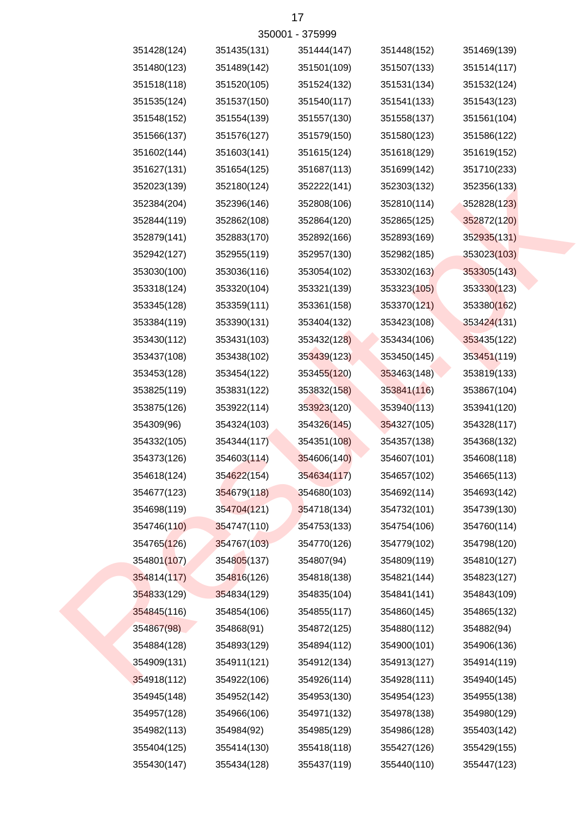| 350001 - 375999 |             |             |             |             |             |  |  |  |
|-----------------|-------------|-------------|-------------|-------------|-------------|--|--|--|
|                 | 351428(124) | 351435(131) | 351444(147) | 351448(152) | 351469(139) |  |  |  |
|                 | 351480(123) | 351489(142) | 351501(109) | 351507(133) | 351514(117) |  |  |  |
|                 | 351518(118) | 351520(105) | 351524(132) | 351531(134) | 351532(124) |  |  |  |
|                 | 351535(124) | 351537(150) | 351540(117) | 351541(133) | 351543(123) |  |  |  |
|                 | 351548(152) | 351554(139) | 351557(130) | 351558(137) | 351561(104) |  |  |  |
|                 | 351566(137) | 351576(127) | 351579(150) | 351580(123) | 351586(122) |  |  |  |
|                 | 351602(144) | 351603(141) | 351615(124) | 351618(129) | 351619(152) |  |  |  |
|                 | 351627(131) | 351654(125) | 351687(113) | 351699(142) | 351710(233) |  |  |  |
|                 | 352023(139) | 352180(124) | 352222(141) | 352303(132) | 352356(133) |  |  |  |
|                 | 352384(204) | 352396(146) | 352808(106) | 352810(114) | 352828(123) |  |  |  |
|                 | 352844(119) | 352862(108) | 352864(120) | 352865(125) | 352872(120) |  |  |  |
|                 | 352879(141) | 352883(170) | 352892(166) | 352893(169) | 352935(131) |  |  |  |
|                 | 352942(127) | 352955(119) | 352957(130) | 352982(185) | 353023(103) |  |  |  |
|                 | 353030(100) | 353036(116) | 353054(102) | 353302(163) | 353305(143) |  |  |  |
|                 | 353318(124) | 353320(104) | 353321(139) | 353323(105) | 353330(123) |  |  |  |
|                 | 353345(128) | 353359(111) | 353361(158) | 353370(121) | 353380(162) |  |  |  |
|                 | 353384(119) | 353390(131) | 353404(132) | 353423(108) | 353424(131) |  |  |  |
|                 | 353430(112) | 353431(103) | 353432(128) | 353434(106) | 353435(122) |  |  |  |
|                 | 353437(108) | 353438(102) | 353439(123) | 353450(145) | 353451(119) |  |  |  |
|                 | 353453(128) | 353454(122) | 353455(120) | 353463(148) | 353819(133) |  |  |  |
|                 | 353825(119) | 353831(122) | 353832(158) | 353841(116) | 353867(104) |  |  |  |
|                 | 353875(126) | 353922(114) | 353923(120) | 353940(113) | 353941(120) |  |  |  |
|                 | 354309(96)  | 354324(103) | 354326(145) | 354327(105) | 354328(117) |  |  |  |
|                 | 354332(105) | 354344(117) | 354351(108) | 354357(138) | 354368(132) |  |  |  |
|                 | 354373(126) | 354603(114) | 354606(140) | 354607(101) | 354608(118) |  |  |  |
|                 | 354618(124) | 354622(154) | 354634(117) | 354657(102) | 354665(113) |  |  |  |
|                 | 354677(123) | 354679(118) | 354680(103) | 354692(114) | 354693(142) |  |  |  |
|                 | 354698(119) | 354704(121) | 354718(134) | 354732(101) | 354739(130) |  |  |  |
|                 | 354746(110) | 354747(110) | 354753(133) | 354754(106) | 354760(114) |  |  |  |
|                 | 354765(126) | 354767(103) | 354770(126) | 354779(102) | 354798(120) |  |  |  |
|                 | 354801(107) | 354805(137) | 354807(94)  | 354809(119) | 354810(127) |  |  |  |
|                 | 354814(117) | 354816(126) | 354818(138) | 354821(144) | 354823(127) |  |  |  |
|                 | 354833(129) | 354834(129) | 354835(104) | 354841(141) | 354843(109) |  |  |  |
|                 | 354845(116) | 354854(106) | 354855(117) | 354860(145) | 354865(132) |  |  |  |
|                 | 354867(98)  | 354868(91)  | 354872(125) | 354880(112) | 354882(94)  |  |  |  |
|                 | 354884(128) | 354893(129) | 354894(112) | 354900(101) | 354906(136) |  |  |  |
|                 | 354909(131) | 354911(121) | 354912(134) | 354913(127) | 354914(119) |  |  |  |
|                 | 354918(112) | 354922(106) | 354926(114) | 354928(111) | 354940(145) |  |  |  |
|                 | 354945(148) | 354952(142) | 354953(130) | 354954(123) | 354955(138) |  |  |  |
|                 | 354957(128) | 354966(106) | 354971(132) | 354978(138) | 354980(129) |  |  |  |
|                 | 354982(113) | 354984(92)  | 354985(129) | 354986(128) | 355403(142) |  |  |  |
|                 | 355404(125) | 355414(130) | 355418(118) | 355427(126) | 355429(155) |  |  |  |
|                 | 355430(147) | 355434(128) | 355437(119) | 355440(110) | 355447(123) |  |  |  |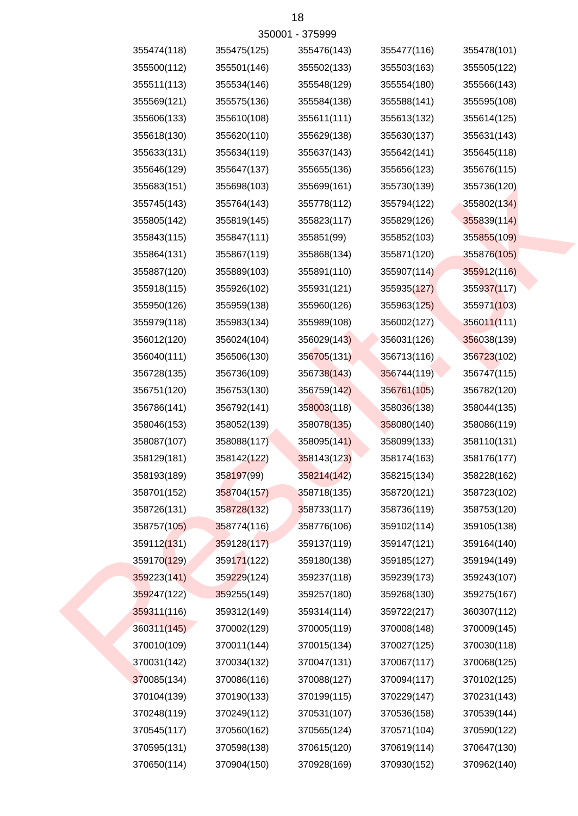| 355474(118) | 355475(125) | 355476(143) | 355477(116) | 355478(101) |
|-------------|-------------|-------------|-------------|-------------|
| 355500(112) | 355501(146) | 355502(133) | 355503(163) | 355505(122) |
| 355511(113) | 355534(146) | 355548(129) | 355554(180) | 355566(143) |
| 355569(121) | 355575(136) | 355584(138) | 355588(141) | 355595(108) |
| 355606(133) | 355610(108) | 355611(111) | 355613(132) | 355614(125) |
| 355618(130) | 355620(110) | 355629(138) | 355630(137) | 355631(143) |
| 355633(131) | 355634(119) | 355637(143) | 355642(141) | 355645(118) |
| 355646(129) | 355647(137) | 355655(136) | 355656(123) | 355676(115) |
| 355683(151) | 355698(103) | 355699(161) | 355730(139) | 355736(120) |
| 355745(143) | 355764(143) | 355778(112) | 355794(122) | 355802(134) |
| 355805(142) | 355819(145) | 355823(117) | 355829(126) | 355839(114) |
| 355843(115) | 355847(111) | 355851(99)  | 355852(103) | 355855(109) |
| 355864(131) | 355867(119) | 355868(134) | 355871(120) | 355876(105) |
| 355887(120) | 355889(103) | 355891(110) | 355907(114) | 355912(116) |
| 355918(115) | 355926(102) | 355931(121) | 355935(127) | 355937(117) |
| 355950(126) | 355959(138) | 355960(126) | 355963(125) | 355971(103) |
| 355979(118) | 355983(134) | 355989(108) | 356002(127) | 356011(111) |
| 356012(120) | 356024(104) | 356029(143) | 356031(126) | 356038(139) |
| 356040(111) | 356506(130) | 356705(131) | 356713(116) | 356723(102) |
| 356728(135) | 356736(109) | 356738(143) | 356744(119) | 356747(115) |
| 356751(120) | 356753(130) | 356759(142) | 356761(105) | 356782(120) |
| 356786(141) | 356792(141) | 358003(118) | 358036(138) | 358044(135) |
| 358046(153) | 358052(139) | 358078(135) | 358080(140) | 358086(119) |
| 358087(107) | 358088(117) | 358095(141) | 358099(133) | 358110(131) |
| 358129(181) | 358142(122) | 358143(123) | 358174(163) | 358176(177) |
| 358193(189) | 358197(99)  | 358214(142) | 358215(134) | 358228(162) |
| 358701(152) | 358704(157) | 358718(135) | 358720(121) | 358723(102) |
| 358726(131) | 358728(132) | 358733(117) | 358736(119) | 358753(120) |
| 358757(105) | 358774(116) | 358776(106) | 359102(114) | 359105(138) |
| 359112(131) | 359128(117) | 359137(119) | 359147(121) | 359164(140) |
| 359170(129) | 359171(122) | 359180(138) | 359185(127) | 359194(149) |
| 359223(141) | 359229(124) | 359237(118) | 359239(173) | 359243(107) |
| 359247(122) | 359255(149) | 359257(180) | 359268(130) | 359275(167) |
| 359311(116) | 359312(149) | 359314(114) | 359722(217) | 360307(112) |
| 360311(145) | 370002(129) | 370005(119) | 370008(148) | 370009(145) |
| 370010(109) | 370011(144) | 370015(134) | 370027(125) | 370030(118) |
| 370031(142) | 370034(132) | 370047(131) | 370067(117) | 370068(125) |
| 370085(134) | 370086(116) | 370088(127) | 370094(117) | 370102(125) |
| 370104(139) | 370190(133) | 370199(115) | 370229(147) | 370231(143) |
| 370248(119) | 370249(112) | 370531(107) | 370536(158) | 370539(144) |
| 370545(117) | 370560(162) | 370565(124) | 370571(104) | 370590(122) |
| 370595(131) | 370598(138) | 370615(120) | 370619(114) | 370647(130) |
| 370650(114) | 370904(150) | 370928(169) | 370930(152) | 370962(140) |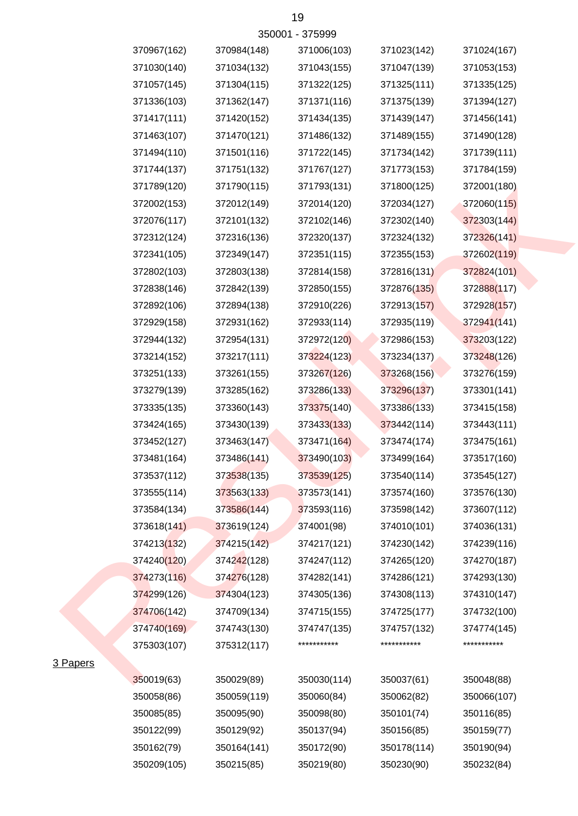|                 | 370967(162) | 370984(148) | 371006(103) | 371023(142) | 371024(167) |
|-----------------|-------------|-------------|-------------|-------------|-------------|
|                 | 371030(140) | 371034(132) | 371043(155) | 371047(139) | 371053(153) |
|                 | 371057(145) | 371304(115) | 371322(125) | 371325(111) | 371335(125) |
|                 | 371336(103) | 371362(147) | 371371(116) | 371375(139) | 371394(127) |
|                 | 371417(111) | 371420(152) | 371434(135) | 371439(147) | 371456(141) |
|                 | 371463(107) | 371470(121) | 371486(132) | 371489(155) | 371490(128) |
|                 | 371494(110) | 371501(116) | 371722(145) | 371734(142) | 371739(111) |
|                 | 371744(137) | 371751(132) | 371767(127) | 371773(153) | 371784(159) |
|                 | 371789(120) | 371790(115) | 371793(131) | 371800(125) | 372001(180) |
|                 | 372002(153) | 372012(149) | 372014(120) | 372034(127) | 372060(115) |
|                 | 372076(117) | 372101(132) | 372102(146) | 372302(140) | 372303(144) |
|                 | 372312(124) | 372316(136) | 372320(137) | 372324(132) | 372326(141) |
|                 | 372341(105) | 372349(147) | 372351(115) | 372355(153) | 372602(119) |
|                 | 372802(103) | 372803(138) | 372814(158) | 372816(131) | 372824(101) |
|                 | 372838(146) | 372842(139) | 372850(155) | 372876(135) | 372888(117) |
|                 | 372892(106) | 372894(138) | 372910(226) | 372913(157) | 372928(157) |
|                 | 372929(158) | 372931(162) | 372933(114) | 372935(119) | 372941(141) |
|                 | 372944(132) | 372954(131) | 372972(120) | 372986(153) | 373203(122) |
|                 | 373214(152) | 373217(111) | 373224(123) | 373234(137) | 373248(126) |
|                 | 373251(133) | 373261(155) | 373267(126) | 373268(156) | 373276(159) |
|                 | 373279(139) | 373285(162) | 373286(133) | 373296(137) | 373301(141) |
|                 | 373335(135) | 373360(143) | 373375(140) | 373386(133) | 373415(158) |
|                 | 373424(165) | 373430(139) | 373433(133) | 373442(114) | 373443(111) |
|                 | 373452(127) | 373463(147) | 373471(164) | 373474(174) | 373475(161) |
|                 | 373481(164) | 373486(141) | 373490(103) | 373499(164) | 373517(160) |
|                 | 373537(112) | 373538(135) | 373539(125) | 373540(114) | 373545(127) |
|                 | 373555(114) | 373563(133) | 373573(141) | 373574(160) | 373576(130) |
|                 | 373584(134) | 373586(144) | 373593(116) | 373598(142) | 373607(112) |
|                 | 373618(141) | 373619(124) | 374001(98)  | 374010(101) | 374036(131) |
|                 | 374213(132) | 374215(142) | 374217(121) | 374230(142) | 374239(116) |
|                 | 374240(120) | 374242(128) | 374247(112) | 374265(120) | 374270(187) |
|                 | 374273(116) | 374276(128) | 374282(141) | 374286(121) | 374293(130) |
|                 | 374299(126) | 374304(123) | 374305(136) | 374308(113) | 374310(147) |
|                 | 374706(142) | 374709(134) | 374715(155) | 374725(177) | 374732(100) |
|                 | 374740(169) | 374743(130) | 374747(135) | 374757(132) | 374774(145) |
|                 | 375303(107) | 375312(117) | *********** | *********** | *********** |
| <u>B Papers</u> |             |             |             |             |             |
|                 | 350019(63)  | 350029(89)  | 350030(114) | 350037(61)  | 350048(88)  |
|                 | 350058(86)  | 350059(119) | 350060(84)  | 350062(82)  | 350066(107) |
|                 | 350085(85)  | 350095(90)  | 350098(80)  | 350101(74)  | 350116(85)  |
|                 | 350122(99)  | 350129(92)  | 350137(94)  | 350156(85)  | 350159(77)  |
|                 | 350162(79)  | 350164(141) | 350172(90)  | 350178(114) | 350190(94)  |
|                 | 350209(105) | 350215(85)  | 350219(80)  | 350230(90)  | 350232(84)  |

3 Papers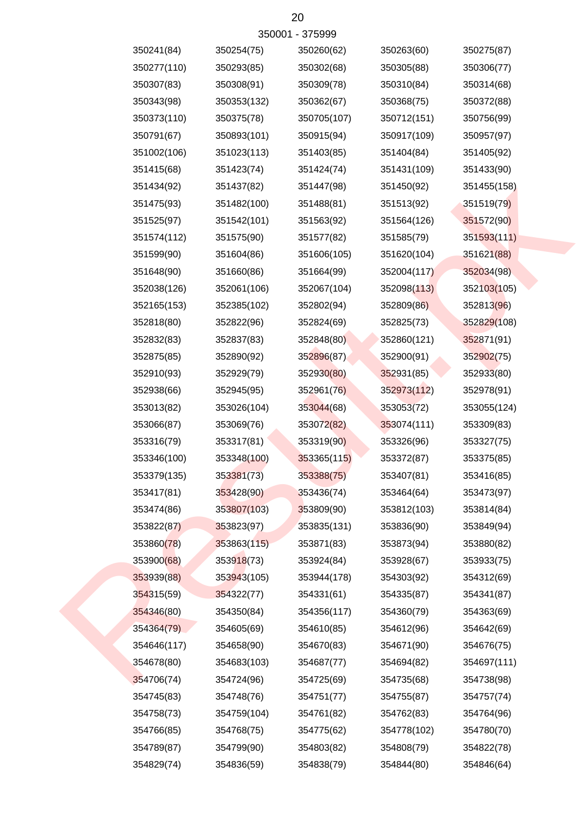|             |             | 32000.1 - 312999 |             |             |
|-------------|-------------|------------------|-------------|-------------|
| 350241(84)  | 350254(75)  | 350260(62)       | 350263(60)  | 350275(87)  |
| 350277(110) | 350293(85)  | 350302(68)       | 350305(88)  | 350306(77)  |
| 350307(83)  | 350308(91)  | 350309(78)       | 350310(84)  | 350314(68)  |
| 350343(98)  | 350353(132) | 350362(67)       | 350368(75)  | 350372(88)  |
| 350373(110) | 350375(78)  | 350705(107)      | 350712(151) | 350756(99)  |
| 350791(67)  | 350893(101) | 350915(94)       | 350917(109) | 350957(97)  |
| 351002(106) | 351023(113) | 351403(85)       | 351404(84)  | 351405(92)  |
| 351415(68)  | 351423(74)  | 351424(74)       | 351431(109) | 351433(90)  |
| 351434(92)  | 351437(82)  | 351447(98)       | 351450(92)  | 351455(158) |
| 351475(93)  | 351482(100) | 351488(81)       | 351513(92)  | 351519(79)  |
| 351525(97)  | 351542(101) | 351563(92)       | 351564(126) | 351572(90)  |
| 351574(112) | 351575(90)  | 351577(82)       | 351585(79)  | 351593(111) |
| 351599(90)  | 351604(86)  | 351606(105)      | 351620(104) | 351621(88)  |
| 351648(90)  | 351660(86)  | 351664(99)       | 352004(117) | 352034(98)  |
| 352038(126) | 352061(106) | 352067(104)      | 352098(113) | 352103(105) |
| 352165(153) | 352385(102) | 352802(94)       | 352809(86)  | 352813(96)  |
| 352818(80)  | 352822(96)  | 352824(69)       | 352825(73)  | 352829(108) |
| 352832(83)  | 352837(83)  | 352848(80)       | 352860(121) | 352871(91)  |
| 352875(85)  | 352890(92)  | 352896(87)       | 352900(91)  | 352902(75)  |
| 352910(93)  | 352929(79)  | 352930(80)       | 352931(85)  | 352933(80)  |
| 352938(66)  | 352945(95)  | 352961(76)       | 352973(112) | 352978(91)  |
| 353013(82)  | 353026(104) | 353044(68)       | 353053(72)  | 353055(124) |
| 353066(87)  | 353069(76)  | 353072(82)       | 353074(111) | 353309(83)  |
| 353316(79)  | 353317(81)  | 353319(90)       | 353326(96)  | 353327(75)  |
| 353346(100) | 353348(100) | 353365(115)      | 353372(87)  | 353375(85)  |
| 353379(135) | 353381(73)  | 353388(75)       | 353407(81)  | 353416(85)  |
| 353417(81)  | 353428(90)  | 353436(74)       | 353464(64)  | 353473(97)  |
| 353474(86)  | 353807(103) | 353809(90)       | 353812(103) | 353814(84)  |
| 353822(87)  | 353823(97)  | 353835(131)      | 353836(90)  | 353849(94)  |
| 353860(78)  | 353863(115) | 353871(83)       | 353873(94)  | 353880(82)  |
| 353900(68)  | 353918(73)  | 353924(84)       | 353928(67)  | 353933(75)  |
| 353939(88)  | 353943(105) | 353944(178)      | 354303(92)  | 354312(69)  |
| 354315(59)  | 354322(77)  | 354331(61)       | 354335(87)  | 354341(87)  |
| 354346(80)  | 354350(84)  | 354356(117)      | 354360(79)  | 354363(69)  |
| 354364(79)  | 354605(69)  | 354610(85)       | 354612(96)  | 354642(69)  |
| 354646(117) | 354658(90)  | 354670(83)       | 354671(90)  | 354676(75)  |
| 354678(80)  | 354683(103) | 354687(77)       | 354694(82)  | 354697(111) |
| 354706(74)  | 354724(96)  | 354725(69)       | 354735(68)  | 354738(98)  |
| 354745(83)  | 354748(76)  | 354751(77)       | 354755(87)  | 354757(74)  |
| 354758(73)  | 354759(104) | 354761(82)       | 354762(83)  | 354764(96)  |
| 354766(85)  | 354768(75)  | 354775(62)       | 354778(102) | 354780(70)  |
| 354789(87)  | 354799(90)  | 354803(82)       | 354808(79)  | 354822(78)  |
| 354829(74)  | 354836(59)  | 354838(79)       | 354844(80)  | 354846(64)  |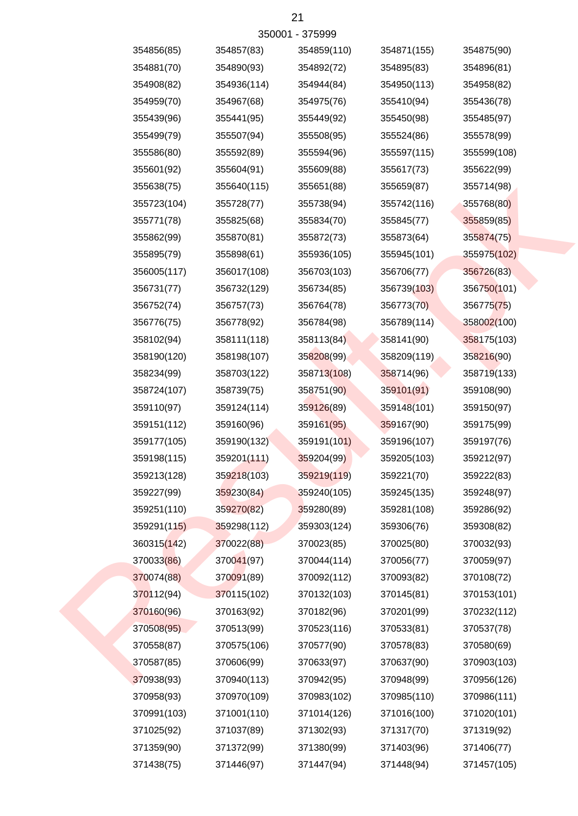| 354856(85)  | 354857(83)  | 354859(110) | 354871(155) | 354875(90)  |
|-------------|-------------|-------------|-------------|-------------|
| 354881(70)  | 354890(93)  | 354892(72)  | 354895(83)  | 354896(81)  |
| 354908(82)  | 354936(114) | 354944(84)  | 354950(113) | 354958(82)  |
| 354959(70)  | 354967(68)  | 354975(76)  | 355410(94)  | 355436(78)  |
| 355439(96)  | 355441(95)  | 355449(92)  | 355450(98)  | 355485(97)  |
| 355499(79)  | 355507(94)  | 355508(95)  | 355524(86)  | 355578(99)  |
| 355586(80)  | 355592(89)  | 355594(96)  | 355597(115) | 355599(108) |
| 355601(92)  | 355604(91)  | 355609(88)  | 355617(73)  | 355622(99)  |
| 355638(75)  | 355640(115) | 355651(88)  | 355659(87)  | 355714(98)  |
| 355723(104) | 355728(77)  | 355738(94)  | 355742(116) | 355768(80)  |
| 355771(78)  | 355825(68)  | 355834(70)  | 355845(77)  | 355859(85)  |
| 355862(99)  | 355870(81)  | 355872(73)  | 355873(64)  | 355874(75)  |
| 355895(79)  | 355898(61)  | 355936(105) | 355945(101) | 355975(102) |
| 356005(117) | 356017(108) | 356703(103) | 356706(77)  | 356726(83)  |
| 356731(77)  | 356732(129) | 356734(85)  | 356739(103) | 356750(101) |
| 356752(74)  | 356757(73)  | 356764(78)  | 356773(70)  | 356775(75)  |
| 356776(75)  | 356778(92)  | 356784(98)  | 356789(114) | 358002(100) |
| 358102(94)  | 358111(118) | 358113(84)  | 358141(90)  | 358175(103) |
| 358190(120) | 358198(107) | 358208(99)  | 358209(119) | 358216(90)  |
| 358234(99)  | 358703(122) | 358713(108) | 358714(96)  | 358719(133) |
| 358724(107) | 358739(75)  | 358751(90)  | 359101(91)  | 359108(90)  |
| 359110(97)  | 359124(114) | 359126(89)  | 359148(101) | 359150(97)  |
| 359151(112) | 359160(96)  | 359161(95)  | 359167(90)  | 359175(99)  |
| 359177(105) | 359190(132) | 359191(101) | 359196(107) | 359197(76)  |
| 359198(115) | 359201(111) | 359204(99)  | 359205(103) | 359212(97)  |
| 359213(128) | 359218(103) | 359219(119) | 359221(70)  | 359222(83)  |
| 359227(99)  | 359230(84)  | 359240(105) | 359245(135) | 359248(97)  |
| 359251(110) | 359270(82)  | 359280(89)  | 359281(108) | 359286(92)  |
| 359291(115) | 359298(112) | 359303(124) | 359306(76)  | 359308(82)  |
| 360315(142) | 370022(88)  | 370023(85)  | 370025(80)  | 370032(93)  |
| 370033(86)  | 370041(97)  | 370044(114) | 370056(77)  | 370059(97)  |
| 370074(88)  | 370091(89)  | 370092(112) | 370093(82)  | 370108(72)  |
| 370112(94)  | 370115(102) | 370132(103) | 370145(81)  | 370153(101) |
| 370160(96)  | 370163(92)  | 370182(96)  | 370201(99)  | 370232(112) |
| 370508(95)  | 370513(99)  | 370523(116) | 370533(81)  | 370537(78)  |
| 370558(87)  | 370575(106) | 370577(90)  | 370578(83)  | 370580(69)  |
| 370587(85)  | 370606(99)  | 370633(97)  | 370637(90)  | 370903(103) |
| 370938(93)  | 370940(113) | 370942(95)  | 370948(99)  | 370956(126) |
| 370958(93)  | 370970(109) | 370983(102) | 370985(110) | 370986(111) |
| 370991(103) | 371001(110) | 371014(126) | 371016(100) | 371020(101) |
| 371025(92)  | 371037(89)  | 371302(93)  | 371317(70)  | 371319(92)  |
| 371359(90)  | 371372(99)  | 371380(99)  | 371403(96)  | 371406(77)  |
| 371438(75)  | 371446(97)  | 371447(94)  | 371448(94)  | 371457(105) |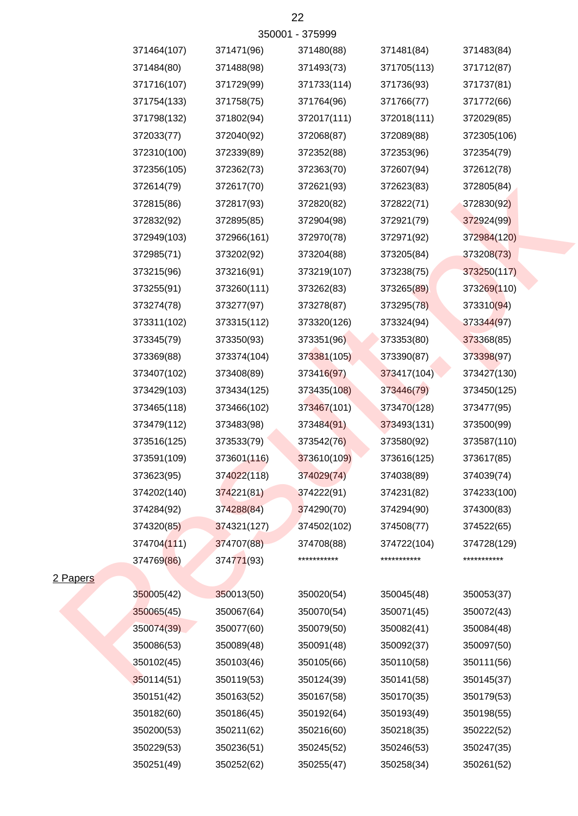| 350001 - 375999 |             |             |             |             |             |  |  |
|-----------------|-------------|-------------|-------------|-------------|-------------|--|--|
|                 | 371464(107) | 371471(96)  | 371480(88)  | 371481(84)  | 371483(84)  |  |  |
|                 | 371484(80)  | 371488(98)  | 371493(73)  | 371705(113) | 371712(87)  |  |  |
|                 | 371716(107) | 371729(99)  | 371733(114) | 371736(93)  | 371737(81)  |  |  |
|                 | 371754(133) | 371758(75)  | 371764(96)  | 371766(77)  | 371772(66)  |  |  |
|                 | 371798(132) | 371802(94)  | 372017(111) | 372018(111) | 372029(85)  |  |  |
|                 | 372033(77)  | 372040(92)  | 372068(87)  | 372089(88)  | 372305(106) |  |  |
|                 | 372310(100) | 372339(89)  | 372352(88)  | 372353(96)  | 372354(79)  |  |  |
|                 | 372356(105) | 372362(73)  | 372363(70)  | 372607(94)  | 372612(78)  |  |  |
|                 | 372614(79)  | 372617(70)  | 372621(93)  | 372623(83)  | 372805(84)  |  |  |
|                 | 372815(86)  | 372817(93)  | 372820(82)  | 372822(71)  | 372830(92)  |  |  |
|                 | 372832(92)  | 372895(85)  | 372904(98)  | 372921(79)  | 372924(99)  |  |  |
|                 | 372949(103) | 372966(161) | 372970(78)  | 372971(92)  | 372984(120) |  |  |
|                 | 372985(71)  | 373202(92)  | 373204(88)  | 373205(84)  | 373208(73)  |  |  |
|                 | 373215(96)  | 373216(91)  | 373219(107) | 373238(75)  | 373250(117) |  |  |
|                 | 373255(91)  | 373260(111) | 373262(83)  | 373265(89)  | 373269(110) |  |  |
|                 | 373274(78)  | 373277(97)  | 373278(87)  | 373295(78)  | 373310(94)  |  |  |
|                 | 373311(102) | 373315(112) | 373320(126) | 373324(94)  | 373344(97)  |  |  |
|                 | 373345(79)  | 373350(93)  | 373351(96)  | 373353(80)  | 373368(85)  |  |  |
|                 | 373369(88)  | 373374(104) | 373381(105) | 373390(87)  | 373398(97)  |  |  |
|                 | 373407(102) | 373408(89)  | 373416(97)  | 373417(104) | 373427(130) |  |  |
|                 | 373429(103) | 373434(125) | 373435(108) | 373446(79)  | 373450(125) |  |  |
|                 | 373465(118) | 373466(102) | 373467(101) | 373470(128) | 373477(95)  |  |  |
|                 | 373479(112) | 373483(98)  | 373484(91)  | 373493(131) | 373500(99)  |  |  |
|                 | 373516(125) | 373533(79)  | 373542(76)  | 373580(92)  | 373587(110) |  |  |
|                 | 373591(109) | 373601(116) | 373610(109) | 373616(125) | 373617(85)  |  |  |
|                 | 373623(95)  | 374022(118) | 374029(74)  | 374038(89)  | 374039(74)  |  |  |
|                 | 374202(140) | 374221(81)  | 374222(91)  | 374231(82)  | 374233(100) |  |  |
|                 | 374284(92)  | 374288(84)  | 374290(70)  | 374294(90)  | 374300(83)  |  |  |
|                 | 374320(85)  | 374321(127) | 374502(102) | 374508(77)  | 374522(65)  |  |  |
|                 | 374704(111) | 374707(88)  | 374708(88)  | 374722(104) | 374728(129) |  |  |
|                 | 374769(86)  | 374771(93)  | *********** | *********** | *********** |  |  |
| <b>Papers</b>   |             |             |             |             |             |  |  |
|                 | 350005(42)  | 350013(50)  | 350020(54)  | 350045(48)  | 350053(37)  |  |  |
|                 | 350065(45)  | 350067(64)  | 350070(54)  | 350071(45)  | 350072(43)  |  |  |
|                 | 350074(39)  | 350077(60)  | 350079(50)  | 350082(41)  | 350084(48)  |  |  |
|                 | 350086(53)  | 350089(48)  | 350091(48)  | 350092(37)  | 350097(50)  |  |  |
|                 | 350102(45)  | 350103(46)  | 350105(66)  | 350110(58)  | 350111(56)  |  |  |
|                 | 350114(51)  | 350119(53)  | 350124(39)  | 350141(58)  | 350145(37)  |  |  |
|                 | 350151(42)  | 350163(52)  | 350167(58)  | 350170(35)  | 350179(53)  |  |  |
|                 | 350182(60)  | 350186(45)  | 350192(64)  | 350193(49)  | 350198(55)  |  |  |
|                 | 350200(53)  | 350211(62)  | 350216(60)  | 350218(35)  | 350222(52)  |  |  |
|                 | 350229(53)  | 350236(51)  | 350245(52)  | 350246(53)  | 350247(35)  |  |  |
|                 | 350251(49)  | 350252(62)  | 350255(47)  | 350258(34)  | 350261(52)  |  |  |

2 Papers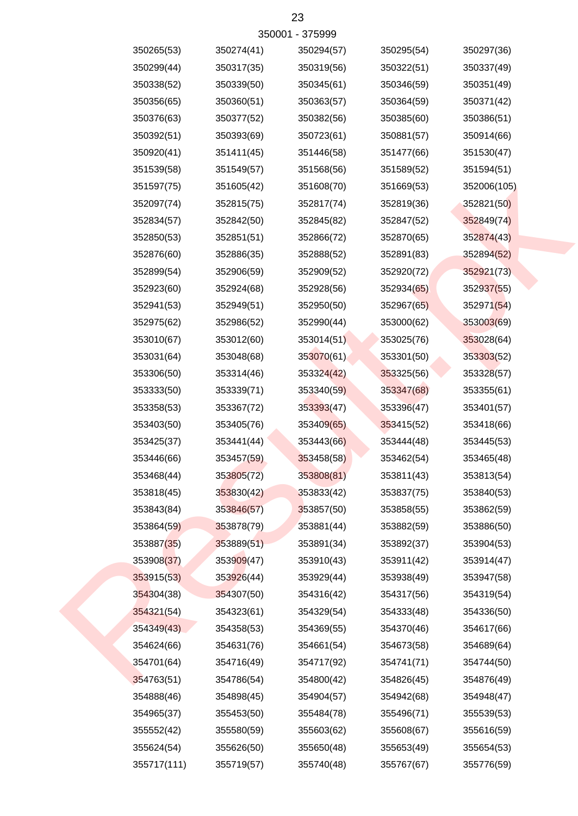| 350265(53)  | 350274(41) | 350294(57) | 350295(54) | 350297(36)  |
|-------------|------------|------------|------------|-------------|
| 350299(44)  | 350317(35) | 350319(56) | 350322(51) | 350337(49)  |
| 350338(52)  | 350339(50) | 350345(61) | 350346(59) | 350351(49)  |
| 350356(65)  | 350360(51) | 350363(57) | 350364(59) | 350371(42)  |
| 350376(63)  | 350377(52) | 350382(56) | 350385(60) | 350386(51)  |
| 350392(51)  | 350393(69) | 350723(61) | 350881(57) | 350914(66)  |
| 350920(41)  | 351411(45) | 351446(58) | 351477(66) | 351530(47)  |
| 351539(58)  | 351549(57) | 351568(56) | 351589(52) | 351594(51)  |
| 351597(75)  | 351605(42) | 351608(70) | 351669(53) | 352006(105) |
| 352097(74)  | 352815(75) | 352817(74) | 352819(36) | 352821(50)  |
| 352834(57)  | 352842(50) | 352845(82) | 352847(52) | 352849(74)  |
| 352850(53)  | 352851(51) | 352866(72) | 352870(65) | 352874(43)  |
| 352876(60)  | 352886(35) | 352888(52) | 352891(83) | 352894(52)  |
| 352899(54)  | 352906(59) | 352909(52) | 352920(72) | 352921(73)  |
| 352923(60)  | 352924(68) | 352928(56) | 352934(65) | 352937(55)  |
| 352941(53)  | 352949(51) | 352950(50) | 352967(65) | 352971(54)  |
| 352975(62)  | 352986(52) | 352990(44) | 353000(62) | 353003(69)  |
| 353010(67)  | 353012(60) | 353014(51) | 353025(76) | 353028(64)  |
| 353031(64)  | 353048(68) | 353070(61) | 353301(50) | 353303(52)  |
| 353306(50)  | 353314(46) | 353324(42) | 353325(56) | 353328(57)  |
| 353333(50)  | 353339(71) | 353340(59) | 353347(68) | 353355(61)  |
| 353358(53)  | 353367(72) | 353393(47) | 353396(47) | 353401(57)  |
| 353403(50)  | 353405(76) | 353409(65) | 353415(52) | 353418(66)  |
| 353425(37)  | 353441(44) | 353443(66) | 353444(48) | 353445(53)  |
| 353446(66)  | 353457(59) | 353458(58) | 353462(54) | 353465(48)  |
| 353468(44)  | 353805(72) | 353808(81) | 353811(43) | 353813(54)  |
| 353818(45)  | 353830(42) | 353833(42) | 353837(75) | 353840(53)  |
| 353843(84)  | 353846(57) | 353857(50) | 353858(55) | 353862(59)  |
| 353864(59)  | 353878(79) | 353881(44) | 353882(59) | 353886(50)  |
| 353887(35)  | 353889(51) | 353891(34) | 353892(37) | 353904(53)  |
| 353908(37)  | 353909(47) | 353910(43) | 353911(42) | 353914(47)  |
| 353915(53)  | 353926(44) | 353929(44) | 353938(49) | 353947(58)  |
| 354304(38)  | 354307(50) | 354316(42) | 354317(56) | 354319(54)  |
| 354321(54)  | 354323(61) | 354329(54) | 354333(48) | 354336(50)  |
| 354349(43)  | 354358(53) | 354369(55) | 354370(46) | 354617(66)  |
| 354624(66)  | 354631(76) | 354661(54) | 354673(58) | 354689(64)  |
| 354701(64)  | 354716(49) | 354717(92) | 354741(71) | 354744(50)  |
| 354763(51)  | 354786(54) | 354800(42) | 354826(45) | 354876(49)  |
| 354888(46)  | 354898(45) | 354904(57) | 354942(68) | 354948(47)  |
| 354965(37)  | 355453(50) | 355484(78) | 355496(71) | 355539(53)  |
| 355552(42)  | 355580(59) | 355603(62) | 355608(67) | 355616(59)  |
| 355624(54)  | 355626(50) | 355650(48) | 355653(49) | 355654(53)  |
| 355717(111) | 355719(57) | 355740(48) | 355767(67) | 355776(59)  |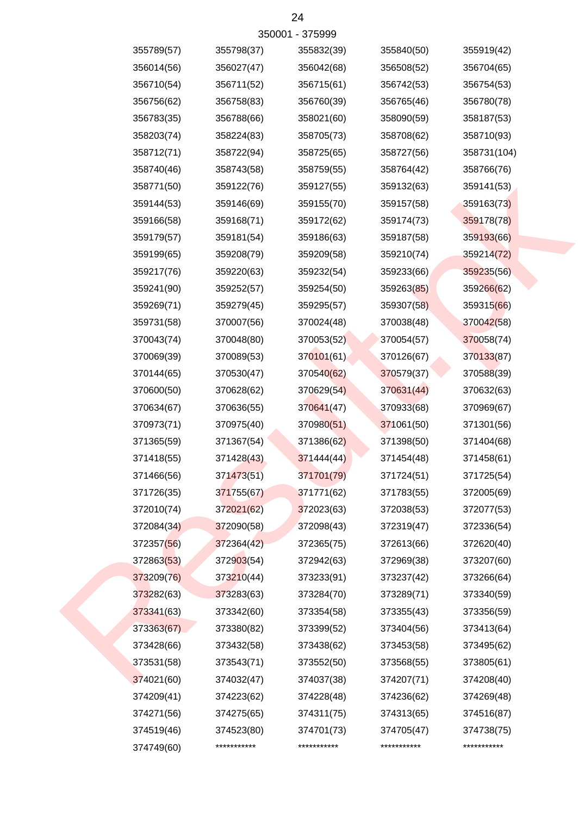| 350001 - 375999 |            |             |             |             |             |  |  |  |
|-----------------|------------|-------------|-------------|-------------|-------------|--|--|--|
|                 | 355789(57) | 355798(37)  | 355832(39)  | 355840(50)  | 355919(42)  |  |  |  |
|                 | 356014(56) | 356027(47)  | 356042(68)  | 356508(52)  | 356704(65)  |  |  |  |
|                 | 356710(54) | 356711(52)  | 356715(61)  | 356742(53)  | 356754(53)  |  |  |  |
|                 | 356756(62) | 356758(83)  | 356760(39)  | 356765(46)  | 356780(78)  |  |  |  |
|                 | 356783(35) | 356788(66)  | 358021(60)  | 358090(59)  | 358187(53)  |  |  |  |
|                 | 358203(74) | 358224(83)  | 358705(73)  | 358708(62)  | 358710(93)  |  |  |  |
|                 | 358712(71) | 358722(94)  | 358725(65)  | 358727(56)  | 358731(104) |  |  |  |
|                 | 358740(46) | 358743(58)  | 358759(55)  | 358764(42)  | 358766(76)  |  |  |  |
|                 | 358771(50) | 359122(76)  | 359127(55)  | 359132(63)  | 359141(53)  |  |  |  |
|                 | 359144(53) | 359146(69)  | 359155(70)  | 359157(58)  | 359163(73)  |  |  |  |
|                 | 359166(58) | 359168(71)  | 359172(62)  | 359174(73)  | 359178(78)  |  |  |  |
|                 | 359179(57) | 359181(54)  | 359186(63)  | 359187(58)  | 359193(66)  |  |  |  |
|                 | 359199(65) | 359208(79)  | 359209(58)  | 359210(74)  | 359214(72)  |  |  |  |
|                 | 359217(76) | 359220(63)  | 359232(54)  | 359233(66)  | 359235(56)  |  |  |  |
|                 | 359241(90) | 359252(57)  | 359254(50)  | 359263(85)  | 359266(62)  |  |  |  |
|                 | 359269(71) | 359279(45)  | 359295(57)  | 359307(58)  | 359315(66)  |  |  |  |
|                 | 359731(58) | 370007(56)  | 370024(48)  | 370038(48)  | 370042(58)  |  |  |  |
|                 | 370043(74) | 370048(80)  | 370053(52)  | 370054(57)  | 370058(74)  |  |  |  |
|                 | 370069(39) | 370089(53)  | 370101(61)  | 370126(67)  | 370133(87)  |  |  |  |
|                 | 370144(65) | 370530(47)  | 370540(62)  | 370579(37)  | 370588(39)  |  |  |  |
|                 | 370600(50) | 370628(62)  | 370629(54)  | 370631(44)  | 370632(63)  |  |  |  |
|                 | 370634(67) | 370636(55)  | 370641(47)  | 370933(68)  | 370969(67)  |  |  |  |
|                 | 370973(71) | 370975(40)  | 370980(51)  | 371061(50)  | 371301(56)  |  |  |  |
|                 | 371365(59) | 371367(54)  | 371386(62)  | 371398(50)  | 371404(68)  |  |  |  |
|                 | 371418(55) | 371428(43)  | 371444(44)  | 371454(48)  | 371458(61)  |  |  |  |
|                 | 371466(56) | 371473(51)  | 371701(79)  | 371724(51)  | 371725(54)  |  |  |  |
|                 | 371726(35) | 371755(67)  | 371771(62)  | 371783(55)  | 372005(69)  |  |  |  |
|                 | 372010(74) | 372021(62)  | 372023(63)  | 372038(53)  | 372077(53)  |  |  |  |
|                 | 372084(34) | 372090(58)  | 372098(43)  | 372319(47)  | 372336(54)  |  |  |  |
|                 | 372357(56) | 372364(42)  | 372365(75)  | 372613(66)  | 372620(40)  |  |  |  |
|                 | 372863(53) | 372903(54)  | 372942(63)  | 372969(38)  | 373207(60)  |  |  |  |
|                 | 373209(76) | 373210(44)  | 373233(91)  | 373237(42)  | 373266(64)  |  |  |  |
|                 | 373282(63) | 373283(63)  | 373284(70)  | 373289(71)  | 373340(59)  |  |  |  |
|                 | 373341(63) | 373342(60)  | 373354(58)  | 373355(43)  | 373356(59)  |  |  |  |
|                 | 373363(67) | 373380(82)  | 373399(52)  | 373404(56)  | 373413(64)  |  |  |  |
|                 | 373428(66) | 373432(58)  | 373438(62)  | 373453(58)  | 373495(62)  |  |  |  |
|                 | 373531(58) | 373543(71)  | 373552(50)  | 373568(55)  | 373805(61)  |  |  |  |
|                 | 374021(60) | 374032(47)  | 374037(38)  | 374207(71)  | 374208(40)  |  |  |  |
|                 | 374209(41) | 374223(62)  | 374228(48)  | 374236(62)  | 374269(48)  |  |  |  |
|                 | 374271(56) | 374275(65)  | 374311(75)  | 374313(65)  | 374516(87)  |  |  |  |
|                 | 374519(46) | 374523(80)  | 374701(73)  | 374705(47)  | 374738(75)  |  |  |  |
|                 | 374749(60) | *********** | *********** | *********** | *********** |  |  |  |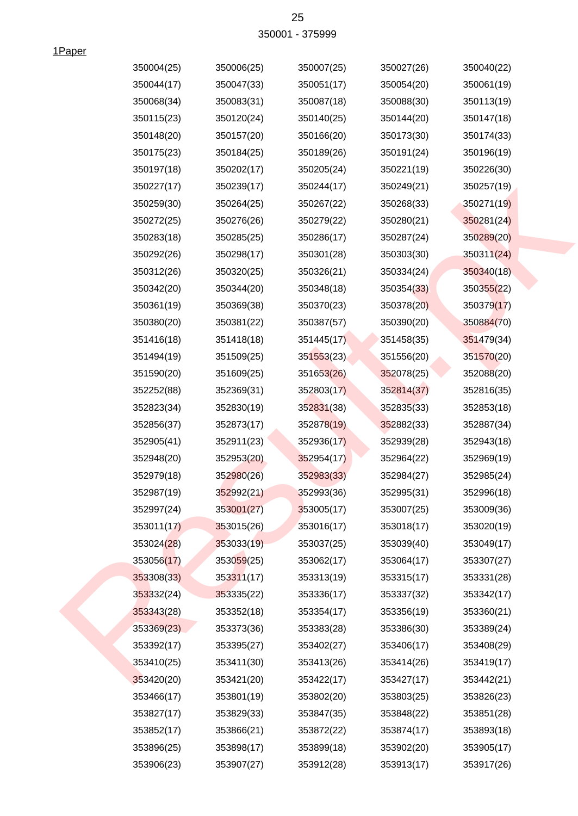| 25              |
|-----------------|
| 350001 - 375999 |

1Paper

| 350004(25) | 350006(25)             | 350007(25) | 350027(26) | 350040(22) |
|------------|------------------------|------------|------------|------------|
| 350044(17) | 350047(33)             | 350051(17) | 350054(20) | 350061(19) |
| 350068(34) | 350083(31)             | 350087(18) | 350088(30) | 350113(19) |
| 350115(23) | 350120(24)             | 350140(25) | 350144(20) | 350147(18) |
| 350148(20) | 350157(20)             | 350166(20) | 350173(30) | 350174(33) |
| 350175(23) | 350184(25)             | 350189(26) | 350191(24) | 350196(19) |
| 350197(18) | 350202(17)             | 350205(24) | 350221(19) | 350226(30) |
| 350227(17) | 350239(17)             | 350244(17) | 350249(21) | 350257(19) |
| 350259(30) | 350264(25)             | 350267(22) | 350268(33) | 350271(19) |
| 350272(25) | 350276(26)             | 350279(22) | 350280(21) | 350281(24) |
| 350283(18) | 350285(25)             | 350286(17) | 350287(24) | 350289(20) |
| 350292(26) | 350298(17)             | 350301(28) | 350303(30) | 350311(24) |
| 350312(26) | 350320(25)             | 350326(21) | 350334(24) | 350340(18) |
| 350342(20) | 350344(20)             | 350348(18) | 350354(33) | 350355(22) |
| 350361(19) | 350369(38)             | 350370(23) | 350378(20) | 350379(17) |
| 350380(20) | 350381(22)             | 350387(57) | 350390(20) | 350884(70) |
| 351416(18) | 351418(18)             | 351445(17) | 351458(35) | 351479(34) |
| 351494(19) | 351509(25)             | 351553(23) | 351556(20) | 351570(20) |
| 351590(20) | 351609(25)             | 351653(26) | 352078(25) | 352088(20) |
| 352252(88) | 352369(31)             | 352803(17) | 352814(37) | 352816(35) |
| 352823(34) | 352830(19)             | 352831(38) | 352835(33) | 352853(18) |
| 352856(37) | 352873(17)             | 352878(19) | 352882(33) | 352887(34) |
| 352905(41) | 352911(23)             | 352936(17) | 352939(28) | 352943(18) |
| 352948(20) | 352953(20)             | 352954(17) | 352964(22) | 352969(19) |
| 352979(18) | 352980(26)             | 352983(33) | 352984(27) | 352985(24) |
| 352987(19) | 352992(21)             | 352993(36) | 352995(31) | 352996(18) |
| 352997(24) | 353001(27)             | 353005(17) | 353007(25) | 353009(36) |
| 353011(17) | 353015(26)             | 353016(17) | 353018(17) | 353020(19) |
| 353024(28) | 353033(19)             | 353037(25) | 353039(40) | 353049(17) |
| 353056(17) | 353059 <sub>(25)</sub> | 353062(17) | 353064(17) | 353307(27) |
| 353308(33) | 353311(17)             | 353313(19) | 353315(17) | 353331(28) |
| 353332(24) | 353335(22)             | 353336(17) | 353337(32) | 353342(17) |
| 353343(28) | 353352(18)             | 353354(17) | 353356(19) | 353360(21) |
| 353369(23) | 353373(36)             | 353383(28) | 353386(30) | 353389(24) |
| 353392(17) | 353395(27)             | 353402(27) | 353406(17) | 353408(29) |
| 353410(25) | 353411(30)             | 353413(26) | 353414(26) | 353419(17) |
| 353420(20) | 353421(20)             | 353422(17) | 353427(17) | 353442(21) |
| 353466(17) | 353801(19)             | 353802(20) | 353803(25) | 353826(23) |
| 353827(17) | 353829(33)             | 353847(35) | 353848(22) | 353851(28) |
| 353852(17) | 353866(21)             | 353872(22) | 353874(17) | 353893(18) |
| 353896(25) | 353898(17)             | 353899(18) | 353902(20) | 353905(17) |
| 353906(23) | 353907(27)             | 353912(28) | 353913(17) | 353917(26) |